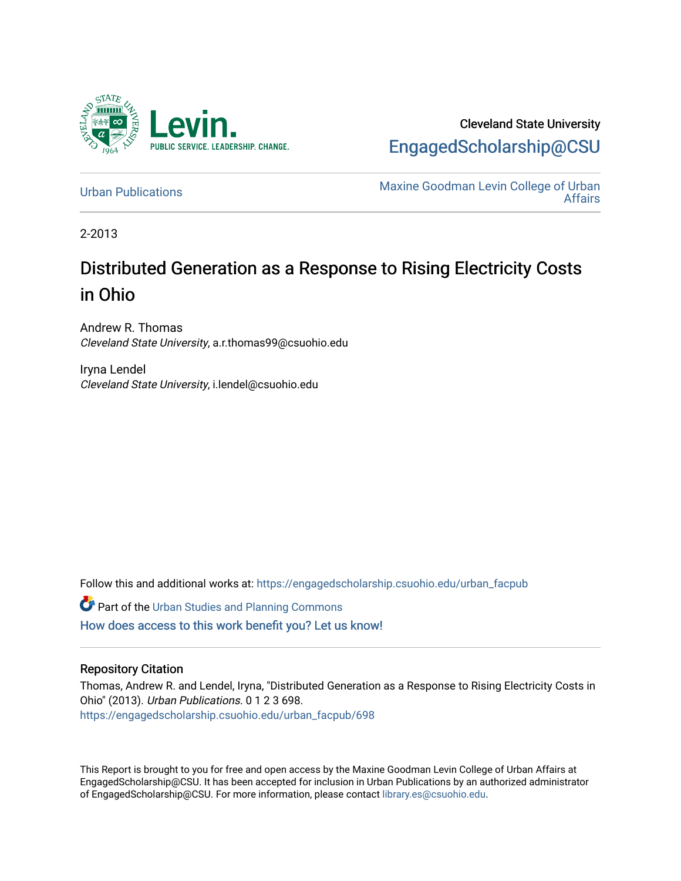

Cleveland State University [EngagedScholarship@CSU](https://engagedscholarship.csuohio.edu/) 

[Urban Publications](https://engagedscholarship.csuohio.edu/urban_facpub) Maxine Goodman Levin College of Urban [Affairs](https://engagedscholarship.csuohio.edu/urban) 

2-2013

# Distributed Generation as a Response to Rising Electricity Costs in Ohio

Andrew R. Thomas Cleveland State University, a.r.thomas99@csuohio.edu

Iryna Lendel Cleveland State University, i.lendel@csuohio.edu

Follow this and additional works at: [https://engagedscholarship.csuohio.edu/urban\\_facpub](https://engagedscholarship.csuohio.edu/urban_facpub?utm_source=engagedscholarship.csuohio.edu%2Furban_facpub%2F698&utm_medium=PDF&utm_campaign=PDFCoverPages) 

**Part of the [Urban Studies and Planning Commons](http://network.bepress.com/hgg/discipline/436?utm_source=engagedscholarship.csuohio.edu%2Furban_facpub%2F698&utm_medium=PDF&utm_campaign=PDFCoverPages)** [How does access to this work benefit you? Let us know!](http://library.csuohio.edu/engaged/)

#### Repository Citation

Thomas, Andrew R. and Lendel, Iryna, "Distributed Generation as a Response to Rising Electricity Costs in Ohio" (2013). Urban Publications. 0 1 2 3 698. [https://engagedscholarship.csuohio.edu/urban\\_facpub/698](https://engagedscholarship.csuohio.edu/urban_facpub/698?utm_source=engagedscholarship.csuohio.edu%2Furban_facpub%2F698&utm_medium=PDF&utm_campaign=PDFCoverPages)

This Report is brought to you for free and open access by the Maxine Goodman Levin College of Urban Affairs at EngagedScholarship@CSU. It has been accepted for inclusion in Urban Publications by an authorized administrator of EngagedScholarship@CSU. For more information, please contact [library.es@csuohio.edu.](mailto:library.es@csuohio.edu)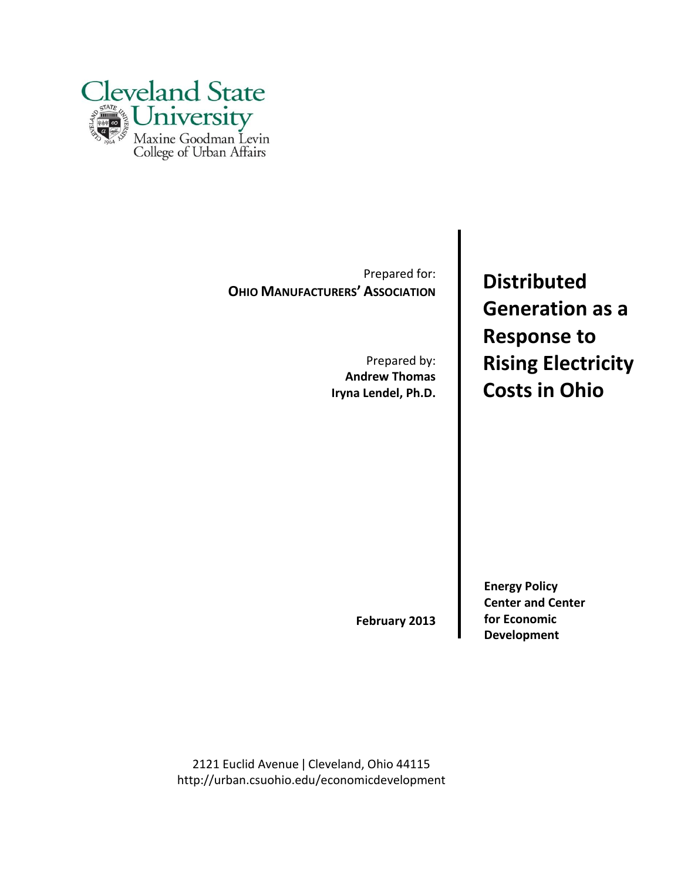

Prepared for: **OHIO MANUFACTURERS' ASSOCIATION** 

> Prepared by: **Andrew Thomas Iryna Lendel, Ph.D.**

**Distributed Generation as a Response to Rising Electricity Costs in Ohio**

**February 2013**

**Energy Policy Center and Center for Economic Development**

2121 Euclid Avenue | Cleveland, Ohio 44115 http://urban.csuohio.edu/economicdevelopment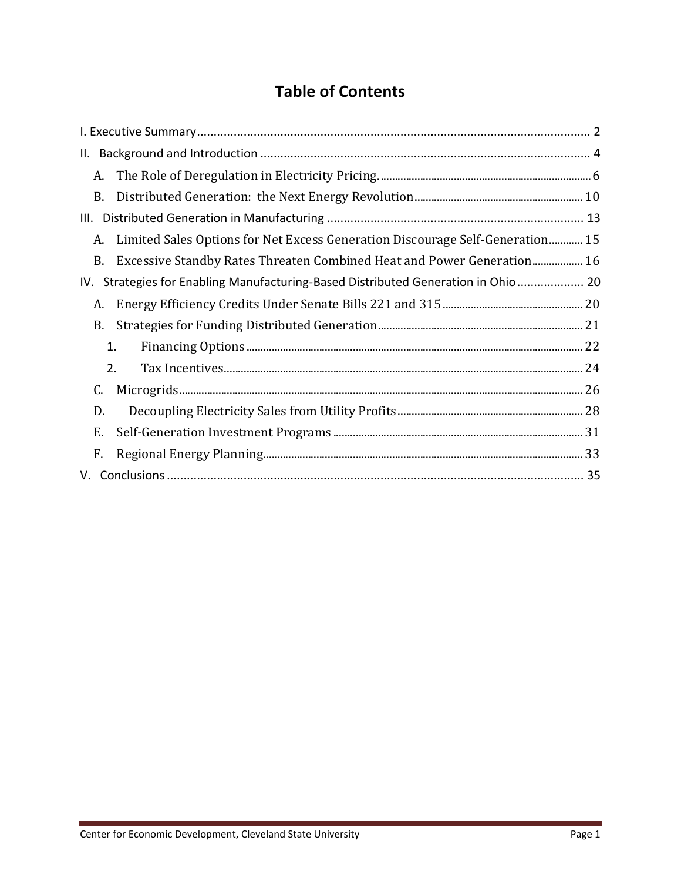# **Table of Contents**

| А.                                                                                   |  |
|--------------------------------------------------------------------------------------|--|
| В.                                                                                   |  |
| Ш.                                                                                   |  |
| Limited Sales Options for Net Excess Generation Discourage Self-Generation 15<br>A.  |  |
| Excessive Standby Rates Threaten Combined Heat and Power Generation 16<br><b>B.</b>  |  |
| Strategies for Enabling Manufacturing-Based Distributed Generation in Ohio 20<br>IV. |  |
| A.                                                                                   |  |
| B.                                                                                   |  |
| 1.                                                                                   |  |
| 2.                                                                                   |  |
| C.                                                                                   |  |
| D.                                                                                   |  |
| Ε.                                                                                   |  |
| F.                                                                                   |  |
|                                                                                      |  |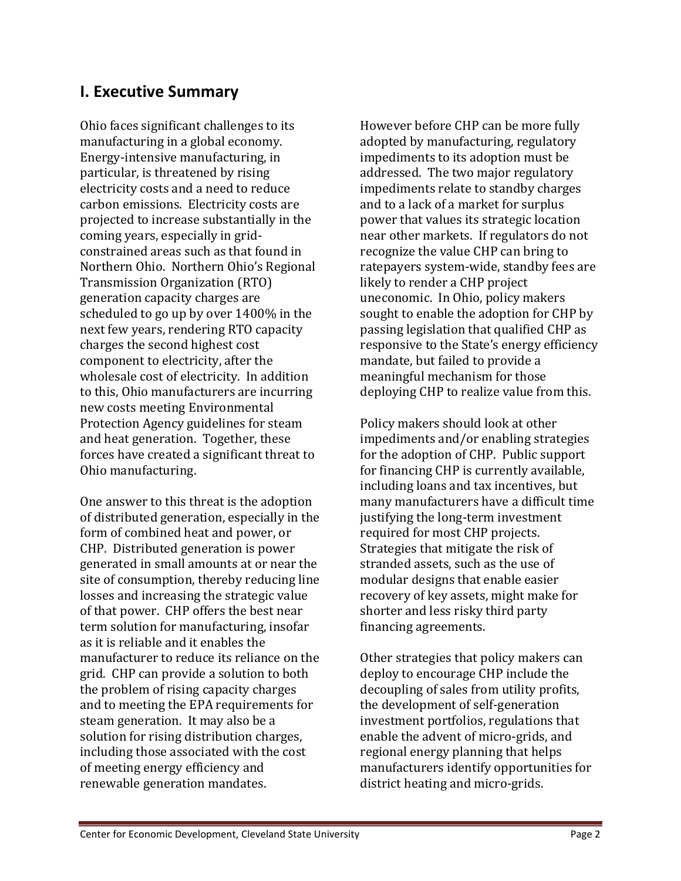# **I. Executive Summary**

Ohio faces significant challenges to its manufacturing in a global economy. Energy-intensive manufacturing, in particular, is threatened by rising electricity costs and a need to reduce carbon emissions. Electricity costs are projected to increase substantially in the coming years, especially in gridconstrained areas such as that found in Northern Ohio. Northern Ohio's Regional Transmission Organization (RTO) generation capacity charges are scheduled to go up by over 1400% in the next few years, rendering RTO capacity charges the second highest cost component to electricity, after the wholesale cost of electricity. In addition to this, Ohio manufacturers are incurring new costs meeting Environmental Protection Agency guidelines for steam and heat generation. Together, these forces have created a significant threat to Ohio manufacturing.

One answer to this threat is the adoption of distributed generation, especially in the form of combined heat and power, or CHP. Distributed generation is power generated in small amounts at or near the site of consumption, thereby reducing line losses and increasing the strategic value of that power. CHP offers the best near term solution for manufacturing, insofar as it is reliable and it enables the manufacturer to reduce its reliance on the grid. CHP can provide a solution to both the problem of rising capacity charges and to meeting the EPA requirements for steam generation. It may also be a solution for rising distribution charges, including those associated with the cost of meeting energy efficiency and renewable generation mandates.

However before CHP can be more fully adopted by manufacturing, regulatory impediments to its adoption must be addressed. The two major regulatory impediments relate to standby charges and to a lack of a market for surplus power that values its strategic location near other markets. If regulators do not recognize the value CHP can bring to ratepayers system-wide, standby fees are likely to render a CHP project uneconomic. In Ohio, policy makers sought to enable the adoption for CHP by passing legislation that qualified CHP as responsive to the State's energy efficiency mandate, but failed to provide a meaningful mechanism for those deploying CHP to realize value from this.

Policy makers should look at other impediments and/or enabling strategies for the adoption of CHP. Public support for financing CHP is currently available, including loans and tax incentives, but many manufacturers have a difficult time justifying the long-term investment required for most CHP projects. Strategies that mitigate the risk of stranded assets, such as the use of modular designs that enable easier recovery of key assets, might make for shorter and less risky third party financing agreements.

Other strategies that policy makers can deploy to encourage CHP include the decoupling of sales from utility profits, the development of self-generation investment portfolios, regulations that enable the advent of micro-grids, and regional energy planning that helps manufacturers identify opportunities for district heating and micro-grids.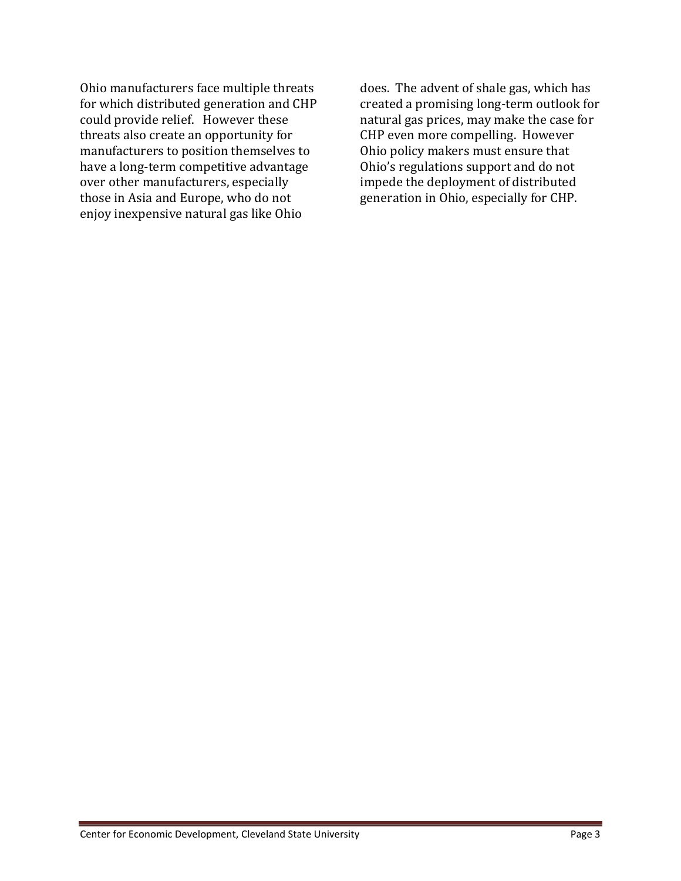Ohio manufacturers face multiple threats for which distributed generation and CHP could provide relief. However these threats also create an opportunity for manufacturers to position themselves to have a long-term competitive advantage over other manufacturers, especially those in Asia and Europe, who do not enjoy inexpensive natural gas like Ohio

does. The advent of shale gas, which has created a promising long-term outlook for natural gas prices, may make the case for CHP even more compelling. However Ohio policy makers must ensure that Ohio's regulations support and do not impede the deployment of distributed generation in Ohio, especially for CHP.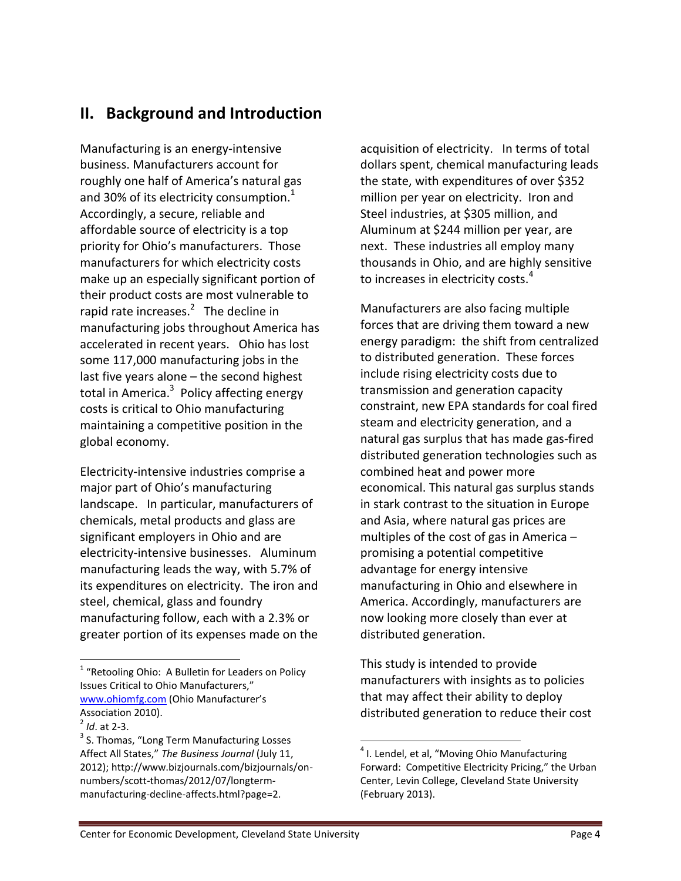# **II. Background and Introduction**

Manufacturing is an energy-intensive business. Manufacturers account for roughly one half of America's natural gas and 30% of its electricity consumption. $^1$ Accordingly, a secure, reliable and affordable source of electricity is a top priority for Ohio's manufacturers. Those manufacturers for which electricity costs make up an especially significant portion of their product costs are most vulnerable to rapid rate increases. $^2$  The decline in manufacturing jobs throughout America has accelerated in recent years. Ohio has lost some 117,000 manufacturing jobs in the last five years alone – the second highest total in America.<sup>3</sup> Policy affecting energy costs is critical to Ohio manufacturing maintaining a competitive position in the global economy.

Electricity-intensive industries comprise a major part of Ohio's manufacturing landscape. In particular, manufacturers of chemicals, metal products and glass are significant employers in Ohio and are electricity-intensive businesses. Aluminum manufacturing leads the way, with 5.7% of its expenditures on electricity. The iron and steel, chemical, glass and foundry manufacturing follow, each with a 2.3% or greater portion of its expenses made on the

l

acquisition of electricity. In terms of total dollars spent, chemical manufacturing leads the state, with expenditures of over \$352 million per year on electricity. Iron and Steel industries, at \$305 million, and Aluminum at \$244 million per year, are next. These industries all employ many thousands in Ohio, and are highly sensitive to increases in electricity costs.<sup>4</sup>

Manufacturers are also facing multiple forces that are driving them toward a new energy paradigm: the shift from centralized to distributed generation. These forces include rising electricity costs due to transmission and generation capacity constraint, new EPA standards for coal fired steam and electricity generation, and a natural gas surplus that has made gas-fired distributed generation technologies such as combined heat and power more economical. This natural gas surplus stands in stark contrast to the situation in Europe and Asia, where natural gas prices are multiples of the cost of gas in America – promising a potential competitive advantage for energy intensive manufacturing in Ohio and elsewhere in America. Accordingly, manufacturers are now looking more closely than ever at distributed generation.

This study is intended to provide manufacturers with insights as to policies that may affect their ability to deploy distributed generation to reduce their cost

<sup>&</sup>lt;sup>1</sup> "Retooling Ohio: A Bulletin for Leaders on Policy Issues Critical to Ohio Manufacturers," [www.ohiomfg.com](http://www.ohiomfg.com/) (Ohio Manufacturer's Association 2010).

<sup>2</sup> *Id*. at 2-3.

<sup>&</sup>lt;sup>3</sup> S. Thomas, "Long Term Manufacturing Losses Affect All States," *The Business Journal* (July 11, 2012); http://www.bizjournals.com/bizjournals/onnumbers/scott-thomas/2012/07/longtermmanufacturing-decline-affects.html?page=2.

<sup>&</sup>lt;sup>4</sup> I. Lendel, et al, "Moving Ohio Manufacturing Forward: Competitive Electricity Pricing," the Urban Center, Levin College, Cleveland State University (February 2013).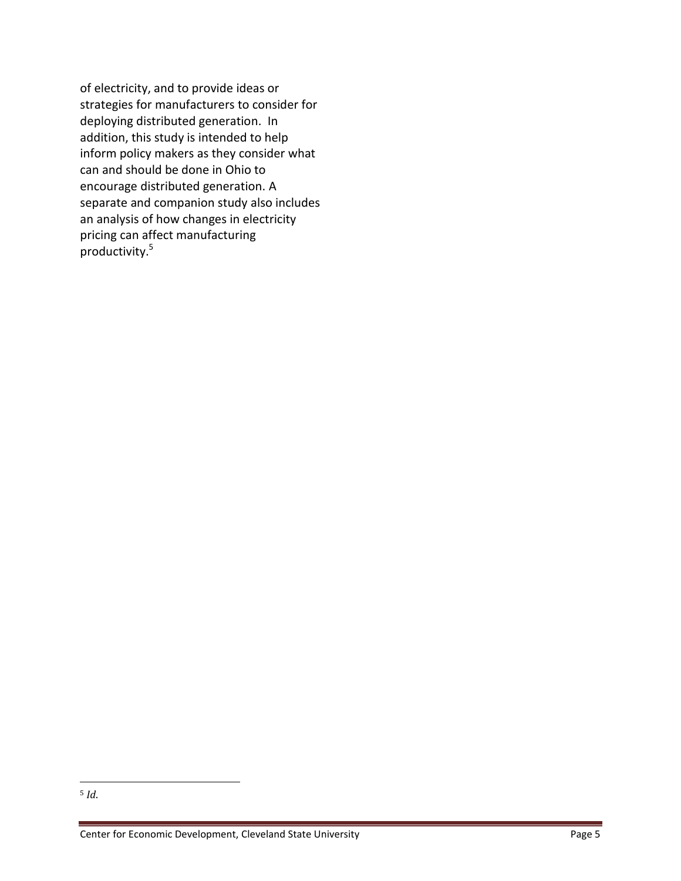of electricity, and to provide ideas or strategies for manufacturers to consider for deploying distributed generation. In addition, this study is intended to help inform policy makers as they consider what can and should be done in Ohio to encourage distributed generation. A separate and companion study also includes an analysis of how changes in electricity pricing can affect manufacturing productivity.<sup>5</sup>

l <sup>5</sup> *Id*.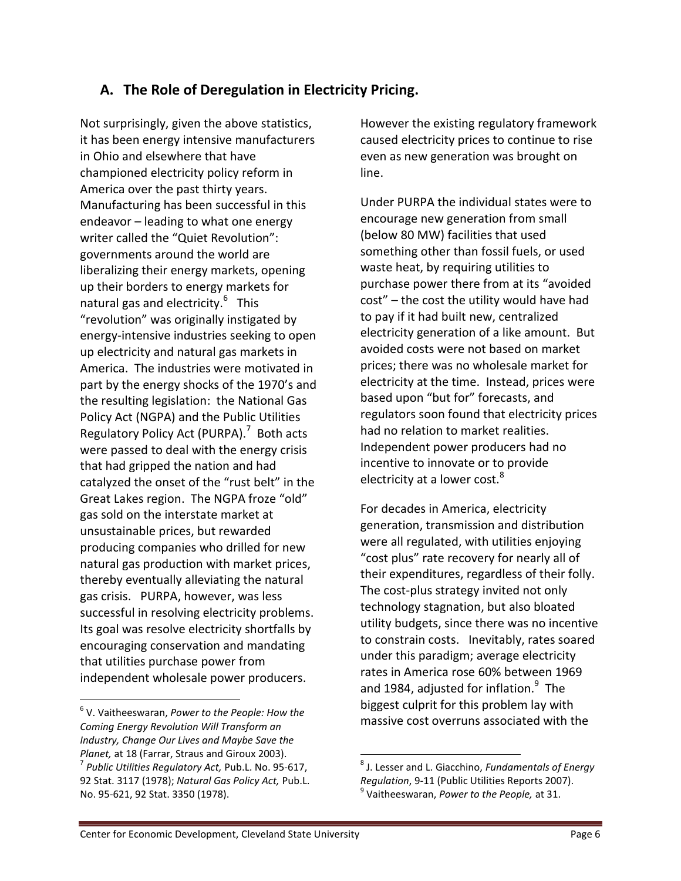# **A. The Role of Deregulation in Electricity Pricing.**

Not surprisingly, given the above statistics, it has been energy intensive manufacturers in Ohio and elsewhere that have championed electricity policy reform in America over the past thirty years. Manufacturing has been successful in this endeavor – leading to what one energy writer called the "Quiet Revolution": governments around the world are liberalizing their energy markets, opening up their borders to energy markets for natural gas and electricity.<sup>6</sup> This "revolution" was originally instigated by energy-intensive industries seeking to open up electricity and natural gas markets in America. The industries were motivated in part by the energy shocks of the 1970's and the resulting legislation: the National Gas Policy Act (NGPA) and the Public Utilities Regulatory Policy Act (PURPA).<sup>7</sup> Both acts were passed to deal with the energy crisis that had gripped the nation and had catalyzed the onset of the "rust belt" in the Great Lakes region. The NGPA froze "old" gas sold on the interstate market at unsustainable prices, but rewarded producing companies who drilled for new natural gas production with market prices, thereby eventually alleviating the natural gas crisis. PURPA, however, was less successful in resolving electricity problems. Its goal was resolve electricity shortfalls by encouraging conservation and mandating that utilities purchase power from independent wholesale power producers.

 $\overline{a}$ 

However the existing regulatory framework caused electricity prices to continue to rise even as new generation was brought on line.

Under PURPA the individual states were to encourage new generation from small (below 80 MW) facilities that used something other than fossil fuels, or used waste heat, by requiring utilities to purchase power there from at its "avoided cost" – the cost the utility would have had to pay if it had built new, centralized electricity generation of a like amount. But avoided costs were not based on market prices; there was no wholesale market for electricity at the time. Instead, prices were based upon "but for" forecasts, and regulators soon found that electricity prices had no relation to market realities. Independent power producers had no incentive to innovate or to provide electricity at a lower cost.<sup>8</sup>

For decades in America, electricity generation, transmission and distribution were all regulated, with utilities enjoying "cost plus" rate recovery for nearly all of their expenditures, regardless of their folly. The cost-plus strategy invited not only technology stagnation, but also bloated utility budgets, since there was no incentive to constrain costs. Inevitably, rates soared under this paradigm; average electricity rates in America rose 60% between 1969 and 1984, adjusted for inflation. $^9$  The biggest culprit for this problem lay with massive cost overruns associated with the

<sup>6</sup> V. Vaitheeswaran, *Power to the People: How the Coming Energy Revolution Will Transform an Industry, Change Our Lives and Maybe Save the Planet,* at 18 (Farrar, Straus and Giroux 2003). 7 *Public Utilities Regulatory Act,* Pub.L. No. 95-617, 92 Stat. 3117 (1978); *Natural Gas Policy Act,* Pub.L. No. 95-621, 92 Stat. 3350 (1978).

<sup>8</sup> J. Lesser and L. Giacchino, *Fundamentals of Energy Regulation*, 9-11 (Public Utilities Reports 2007). 9 Vaitheeswaran, *Power to the People,* at 31.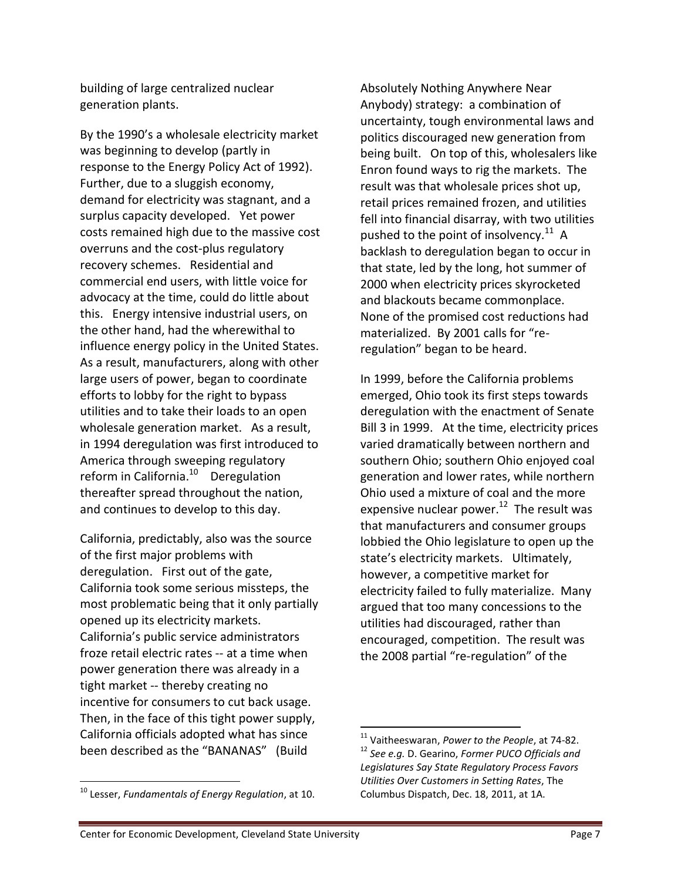building of large centralized nuclear generation plants.

By the 1990's a wholesale electricity market was beginning to develop (partly in response to the Energy Policy Act of 1992). Further, due to a sluggish economy, demand for electricity was stagnant, and a surplus capacity developed. Yet power costs remained high due to the massive cost overruns and the cost-plus regulatory recovery schemes. Residential and commercial end users, with little voice for advocacy at the time, could do little about this. Energy intensive industrial users, on the other hand, had the wherewithal to influence energy policy in the United States. As a result, manufacturers, along with other large users of power, began to coordinate efforts to lobby for the right to bypass utilities and to take their loads to an open wholesale generation market. As a result, in 1994 deregulation was first introduced to America through sweeping regulatory reform in California.<sup>10</sup> Deregulation thereafter spread throughout the nation, and continues to develop to this day.

California, predictably, also was the source of the first major problems with deregulation. First out of the gate, California took some serious missteps, the most problematic being that it only partially opened up its electricity markets. California's public service administrators froze retail electric rates -- at a time when power generation there was already in a tight market -- thereby creating no incentive for consumers to cut back usage. Then, in the face of this tight power supply, California officials adopted what has since been described as the "BANANAS" (Build

<sup>10</sup> Lesser, *Fundamentals of Energy Regulation*, at 10.

 $\overline{a}$ 

Absolutely Nothing Anywhere Near Anybody) strategy: a combination of uncertainty, tough environmental laws and politics discouraged new generation from being built. On top of this, wholesalers like Enron found ways to rig the markets. The result was that wholesale prices shot up, retail prices remained frozen, and utilities fell into financial disarray, with two utilities pushed to the point of insolvency. $^{11}$  A backlash to deregulation began to occur in that state, led by the long, hot summer of 2000 when electricity prices skyrocketed and blackouts became commonplace. None of the promised cost reductions had materialized. By 2001 calls for "reregulation" began to be heard.

In 1999, before the California problems emerged, Ohio took its first steps towards deregulation with the enactment of Senate Bill 3 in 1999. At the time, electricity prices varied dramatically between northern and southern Ohio; southern Ohio enjoyed coal generation and lower rates, while northern Ohio used a mixture of coal and the more expensive nuclear power.<sup>12</sup> The result was that manufacturers and consumer groups lobbied the Ohio legislature to open up the state's electricity markets. Ultimately, however, a competitive market for electricity failed to fully materialize. Many argued that too many concessions to the utilities had discouraged, rather than encouraged, competition. The result was the 2008 partial "re-regulation" of the

<sup>11</sup> Vaitheeswaran, *Power to the People*, at 74-82. <sup>12</sup> *See e.g.* D. Gearino, *Former PUCO Officials and Legislatures Say State Regulatory Process Favors Utilities Over Customers in Setting Rates*, The Columbus Dispatch, Dec. 18, 2011, at 1A.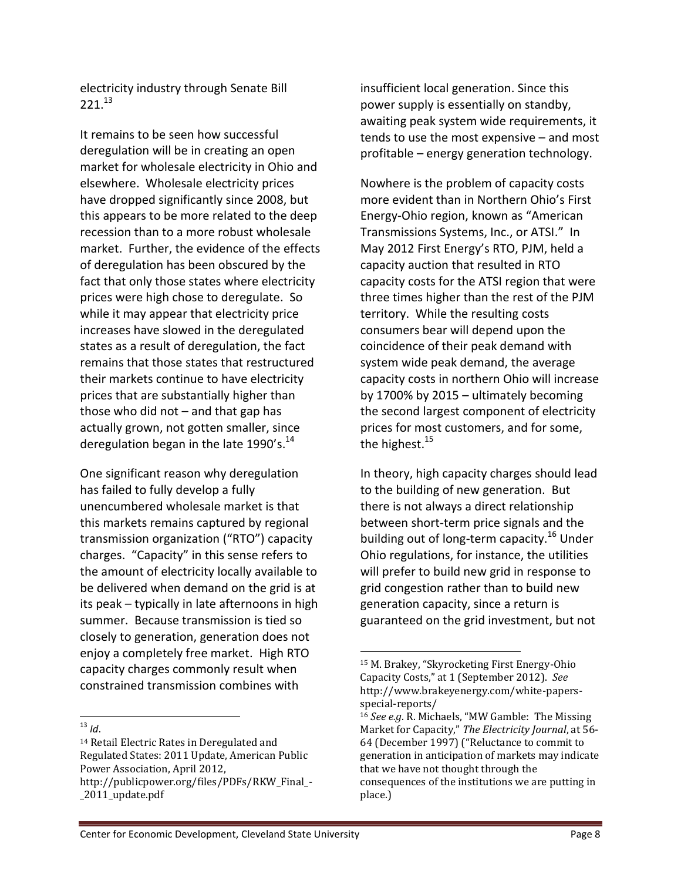electricity industry through Senate Bill  $221^{13}$ 

It remains to be seen how successful deregulation will be in creating an open market for wholesale electricity in Ohio and elsewhere. Wholesale electricity prices have dropped significantly since 2008, but this appears to be more related to the deep recession than to a more robust wholesale market. Further, the evidence of the effects of deregulation has been obscured by the fact that only those states where electricity prices were high chose to deregulate. So while it may appear that electricity price increases have slowed in the deregulated states as a result of deregulation, the fact remains that those states that restructured their markets continue to have electricity prices that are substantially higher than those who did not  $-$  and that gap has actually grown, not gotten smaller, since deregulation began in the late  $1990's.<sup>14</sup>$ 

One significant reason why deregulation has failed to fully develop a fully unencumbered wholesale market is that this markets remains captured by regional transmission organization ("RTO") capacity charges. "Capacity" in this sense refers to the amount of electricity locally available to be delivered when demand on the grid is at its peak – typically in late afternoons in high summer. Because transmission is tied so closely to generation, generation does not enjoy a completely free market. High RTO capacity charges commonly result when constrained transmission combines with

 $\overline{a}$  $13$  *Id*. insufficient local generation. Since this power supply is essentially on standby, awaiting peak system wide requirements, it tends to use the most expensive – and most profitable – energy generation technology.

Nowhere is the problem of capacity costs more evident than in Northern Ohio's First Energy-Ohio region, known as "American Transmissions Systems, Inc., or ATSI." In May 2012 First Energy's RTO, PJM, held a capacity auction that resulted in RTO capacity costs for the ATSI region that were three times higher than the rest of the PJM territory. While the resulting costs consumers bear will depend upon the coincidence of their peak demand with system wide peak demand, the average capacity costs in northern Ohio will increase by 1700% by 2015 – ultimately becoming the second largest component of electricity prices for most customers, and for some, the highest.<sup>15</sup>

In theory, high capacity charges should lead to the building of new generation. But there is not always a direct relationship between short-term price signals and the building out of long-term capacity.<sup>16</sup> Under Ohio regulations, for instance, the utilities will prefer to build new grid in response to grid congestion rather than to build new generation capacity, since a return is guaranteed on the grid investment, but not

<sup>14</sup> Retail Electric Rates in Deregulated and Regulated States: 2011 Update, American Public Power Association, April 2012, http://publicpower.org/files/PDFs/RKW\_Final\_- \_2011\_update.pdf

<sup>15</sup> M. Brakey, "Skyrocketing First Energy-Ohio Capacity Costs," at 1 (September 2012). *See* http://www.brakeyenergy.com/white-papersspecial-reports/

<sup>16</sup> *See e.g*. R. Michaels, "MW Gamble: The Missing Market for Capacity," *The Electricity Journal*, at 56- 64 (December 1997) ("Reluctance to commit to generation in anticipation of markets may indicate that we have not thought through the consequences of the institutions we are putting in place.)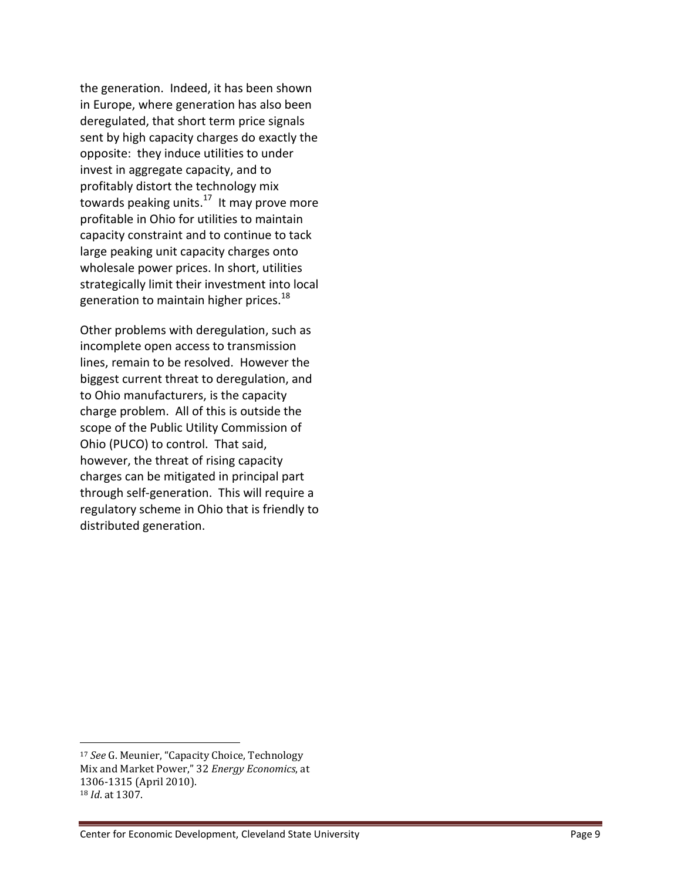the generation. Indeed, it has been shown in Europe, where generation has also been deregulated, that short term price signals sent by high capacity charges do exactly the opposite: they induce utilities to under invest in aggregate capacity, and to profitably distort the technology mix towards peaking units.<sup>17</sup> It may prove more profitable in Ohio for utilities to maintain capacity constraint and to continue to tack large peaking unit capacity charges onto wholesale power prices. In short, utilities strategically limit their investment into local generation to maintain higher prices.<sup>18</sup>

Other problems with deregulation, such as incomplete open access to transmission lines, remain to be resolved. However the biggest current threat to deregulation, and to Ohio manufacturers, is the capacity charge problem. All of this is outside the scope of the Public Utility Commission of Ohio (PUCO) to control. That said, however, the threat of rising capacity charges can be mitigated in principal part through self-generation. This will require a regulatory scheme in Ohio that is friendly to distributed generation.

<sup>17</sup> *See* G. Meunier, "Capacity Choice, Technology Mix and Market Power," 32 *Energy Economics*, at 1306-1315 (April 2010). <sup>18</sup> *Id*. at 1307.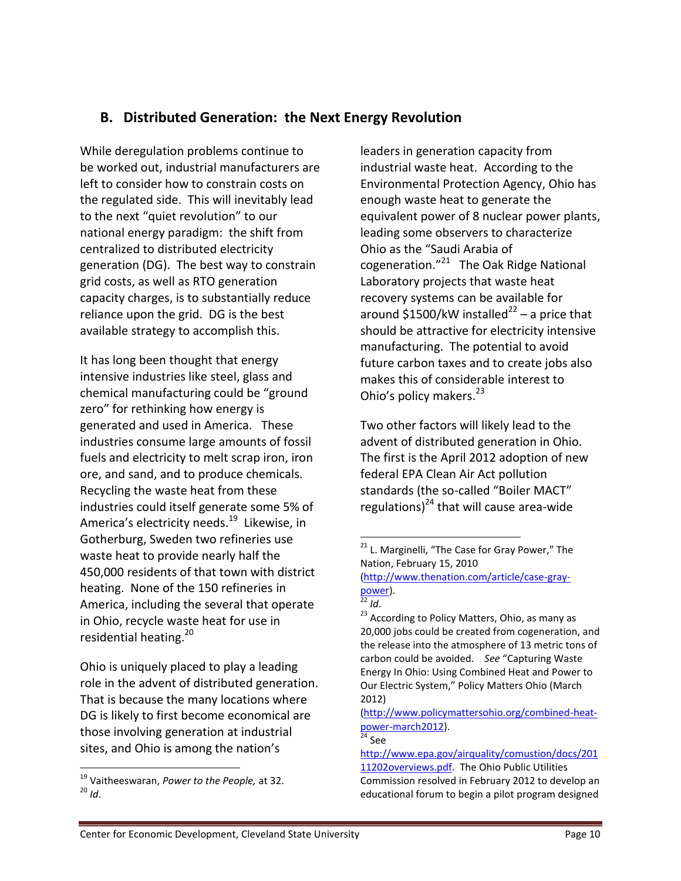## **B. Distributed Generation: the Next Energy Revolution**

While deregulation problems continue to be worked out, industrial manufacturers are left to consider how to constrain costs on the regulated side. This will inevitably lead to the next "quiet revolution" to our national energy paradigm: the shift from centralized to distributed electricity generation (DG). The best way to constrain grid costs, as well as RTO generation capacity charges, is to substantially reduce reliance upon the grid. DG is the best available strategy to accomplish this.

It has long been thought that energy intensive industries like steel, glass and chemical manufacturing could be "ground zero" for rethinking how energy is generated and used in America. These industries consume large amounts of fossil fuels and electricity to melt scrap iron, iron ore, and sand, and to produce chemicals. Recycling the waste heat from these industries could itself generate some 5% of America's electricity needs.<sup>19</sup> Likewise, in Gotherburg, Sweden two refineries use waste heat to provide nearly half the 450,000 residents of that town with district heating. None of the 150 refineries in America, including the several that operate in Ohio, recycle waste heat for use in residential heating.<sup>20</sup>

Ohio is uniquely placed to play a leading role in the advent of distributed generation. That is because the many locations where DG is likely to first become economical are those involving generation at industrial sites, and Ohio is among the nation's

l

leaders in generation capacity from industrial waste heat. According to the Environmental Protection Agency, Ohio has enough waste heat to generate the equivalent power of 8 nuclear power plants, leading some observers to characterize Ohio as the "Saudi Arabia of cogeneration."<sup>21</sup> The Oak Ridge National Laboratory projects that waste heat recovery systems can be available for around \$1500/kW installed<sup>22</sup> – a price that should be attractive for electricity intensive manufacturing. The potential to avoid future carbon taxes and to create jobs also makes this of considerable interest to Ohio's policy makers.<sup>23</sup>

Two other factors will likely lead to the advent of distributed generation in Ohio. The first is the April 2012 adoption of new federal EPA Clean Air Act pollution standards (the so-called "Boiler MACT" regulations)<sup>24</sup> that will cause area-wide

<sup>23</sup> According to Policy Matters, Ohio, as many as 20,000 jobs could be created from cogeneration, and the release into the atmosphere of 13 metric tons of carbon could be avoided. *See* "Capturing Waste Energy In Ohio: Using Combined Heat and Power to Our Electric System," Policy Matters Ohio (March 2012)

[\(http://www.policymattersohio.org/combined-heat](http://www.policymattersohio.org/combined-heat-power-march2012)[power-march2012\)](http://www.policymattersohio.org/combined-heat-power-march2012).

 $24$  See

[http://www.epa.gov/airquality/comustion/docs/201](http://www.epa.gov/airquality/comustion/docs/20111202overviews.pdf) [11202overviews.pdf.](http://www.epa.gov/airquality/comustion/docs/20111202overviews.pdf) The Ohio Public Utilities

Commission resolved in February 2012 to develop an educational forum to begin a pilot program designed

<sup>19</sup> Vaitheeswaran, *Power to the People,* at 32.  $^{20}$  *Id.* 

 $\overline{a}$  $21$  L. Marginelli, "The Case for Gray Power," The Nation, February 15, 2010 [\(http://www.thenation.com/article/case-gray-](http://www.thenation.com/article/case-gray-power)

[power\)](http://www.thenation.com/article/case-gray-power).

<sup>22</sup> *Id*.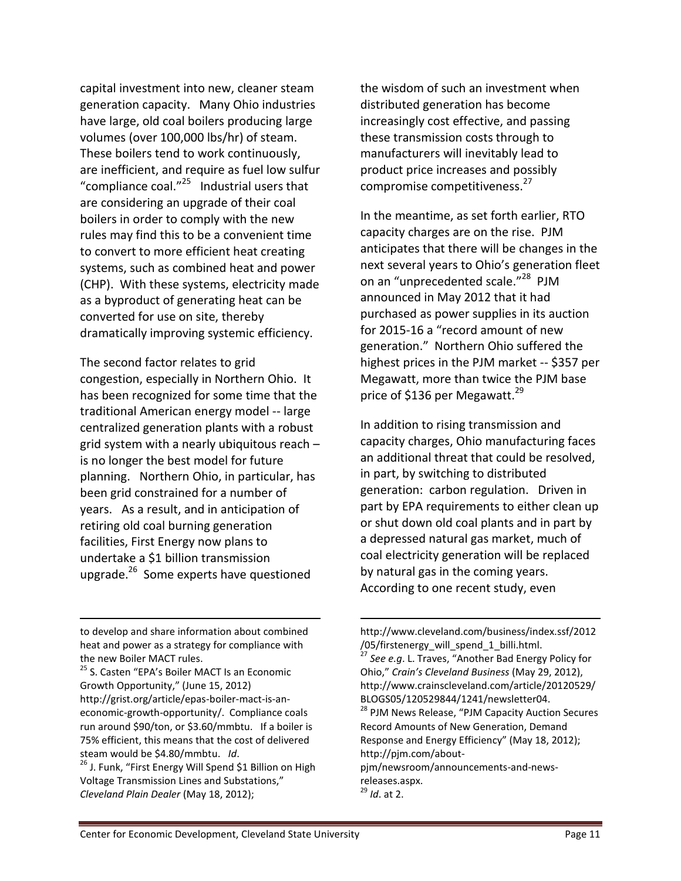capital investment into new, cleaner steam generation capacity. Many Ohio industries have large, old coal boilers producing large volumes (over 100,000 lbs/hr) of steam. These boilers tend to work continuously, are inefficient, and require as fuel low sulfur "compliance coal."<sup>25</sup> Industrial users that are considering an upgrade of their coal boilers in order to comply with the new rules may find this to be a convenient time to convert to more efficient heat creating systems, such as combined heat and power (CHP). With these systems, electricity made as a byproduct of generating heat can be converted for use on site, thereby dramatically improving systemic efficiency.

The second factor relates to grid congestion, especially in Northern Ohio. It has been recognized for some time that the traditional American energy model -- large centralized generation plants with a robust grid system with a nearly ubiquitous reach – is no longer the best model for future planning. Northern Ohio, in particular, has been grid constrained for a number of years. As a result, and in anticipation of retiring old coal burning generation facilities, First Energy now plans to undertake a \$1 billion transmission upgrade.<sup>26</sup> Some experts have questioned

to develop and share information about combined heat and power as a strategy for compliance with the new Boiler MACT rules.

l

<sup>25</sup> S. Casten "EPA's Boiler MACT Is an Economic Growth Opportunity," (June 15, 2012) http://grist.org/article/epas-boiler-mact-is-aneconomic-growth-opportunity/. Compliance coals run around \$90/ton, or \$3.60/mmbtu. If a boiler is 75% efficient, this means that the cost of delivered steam would be \$4.80/mmbtu. *Id*.

<sup>26</sup> J. Funk, "First Energy Will Spend \$1 Billion on High Voltage Transmission Lines and Substations," *Cleveland Plain Dealer* (May 18, 2012);

the wisdom of such an investment when distributed generation has become increasingly cost effective, and passing these transmission costs through to manufacturers will inevitably lead to product price increases and possibly compromise competitiveness. 27

In the meantime, as set forth earlier, RTO capacity charges are on the rise. PJM anticipates that there will be changes in the next several years to Ohio's generation fleet on an "unprecedented scale."<sup>28</sup> PJM announced in May 2012 that it had purchased as power supplies in its auction for 2015-16 a "record amount of new generation." Northern Ohio suffered the highest prices in the PJM market -- \$357 per Megawatt, more than twice the PJM base price of \$136 per Megawatt.<sup>29</sup>

In addition to rising transmission and capacity charges, Ohio manufacturing faces an additional threat that could be resolved, in part, by switching to distributed generation: carbon regulation. Driven in part by EPA requirements to either clean up or shut down old coal plants and in part by a depressed natural gas market, much of coal electricity generation will be replaced by natural gas in the coming years. According to one recent study, even

l

http://www.cleveland.com/business/index.ssf/2012 /05/firstenergy\_will\_spend\_1\_billi.html.

<sup>27</sup> *See e.g*. L. Traves, "Another Bad Energy Policy for Ohio," *Crain's Cleveland Business* (May 29, 2012), http://www.crainscleveland.com/article/20120529/ BLOGS05/120529844/1241/newsletter04.

<sup>&</sup>lt;sup>28</sup> PJM News Release, "PJM Capacity Auction Secures Record Amounts of New Generation, Demand Response and Energy Efficiency" (May 18, 2012); http://pjm.com/about-

pjm/newsroom/announcements-and-newsreleases.aspx. <sup>29</sup> *Id*. at 2.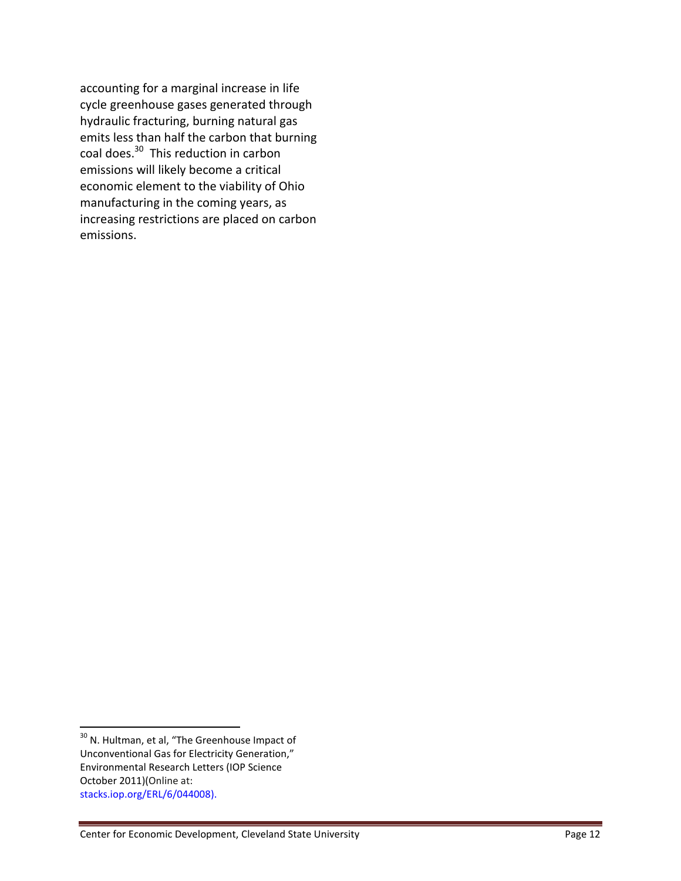accounting for a marginal increase in life cycle greenhouse gases generated through hydraulic fracturing, burning natural gas emits less than half the carbon that burning coal does.<sup>30</sup> This reduction in carbon emissions will likely become a critical economic element to the viability of Ohio manufacturing in the coming years, as increasing restrictions are placed on carbon emissions.

<sup>&</sup>lt;sup>30</sup> N. Hultman, et al, "The Greenhouse Impact of Unconventional Gas for Electricity Generation," Environmental Research Letters (IOP Science October 2011)(Online at: stacks.iop.org/ERL/6/044008).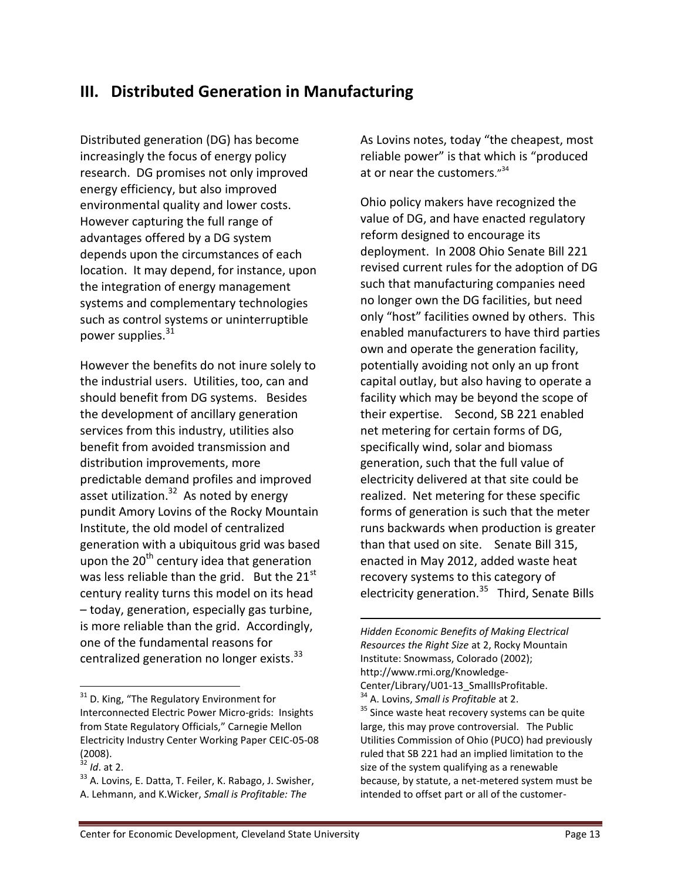# **III. Distributed Generation in Manufacturing**

Distributed generation (DG) has become increasingly the focus of energy policy research. DG promises not only improved energy efficiency, but also improved environmental quality and lower costs. However capturing the full range of advantages offered by a DG system depends upon the circumstances of each location. It may depend, for instance, upon the integration of energy management systems and complementary technologies such as control systems or uninterruptible power supplies.<sup>31</sup>

However the benefits do not inure solely to the industrial users. Utilities, too, can and should benefit from DG systems. Besides the development of ancillary generation services from this industry, utilities also benefit from avoided transmission and distribution improvements, more predictable demand profiles and improved asset utilization.<sup>32</sup> As noted by energy pundit Amory Lovins of the Rocky Mountain Institute, the old model of centralized generation with a ubiquitous grid was based upon the  $20<sup>th</sup>$  century idea that generation was less reliable than the grid. But the  $21<sup>st</sup>$ century reality turns this model on its head – today, generation, especially gas turbine, is more reliable than the grid. Accordingly, one of the fundamental reasons for centralized generation no longer exists.<sup>33</sup>

l

As Lovins notes, today "the cheapest, most reliable power" is that which is "produced at or near the customers."<sup>34</sup>

Ohio policy makers have recognized the value of DG, and have enacted regulatory reform designed to encourage its deployment. In 2008 Ohio Senate Bill 221 revised current rules for the adoption of DG such that manufacturing companies need no longer own the DG facilities, but need only "host" facilities owned by others. This enabled manufacturers to have third parties own and operate the generation facility, potentially avoiding not only an up front capital outlay, but also having to operate a facility which may be beyond the scope of their expertise. Second, SB 221 enabled net metering for certain forms of DG, specifically wind, solar and biomass generation, such that the full value of electricity delivered at that site could be realized. Net metering for these specific forms of generation is such that the meter runs backwards when production is greater than that used on site. Senate Bill 315, enacted in May 2012, added waste heat recovery systems to this category of electricity generation.<sup>35</sup> Third, Senate Bills

*Hidden Economic Benefits of Making Electrical Resources the Right Size* at 2, Rocky Mountain Institute: Snowmass, Colorado (2002); http://www.rmi.org/Knowledge-Center/Library/U01-13\_SmallIsProfitable. <sup>34</sup> A. Lovins, *Small is Profitable* at 2. <sup>35</sup> Since waste heat recovery systems can be quite large, this may prove controversial. The Public Utilities Commission of Ohio (PUCO) had previously ruled that SB 221 had an implied limitation to the size of the system qualifying as a renewable because, by statute, a net-metered system must be intended to offset part or all of the customer-

l

<sup>&</sup>lt;sup>31</sup> D. King, "The Regulatory Environment for Interconnected Electric Power Micro-grids: Insights from State Regulatory Officials," Carnegie Mellon Electricity Industry Center Working Paper CEIC-05-08  $(2008)$ .

*Id.* at 2.

<sup>&</sup>lt;sup>33</sup> A. Lovins, E. Datta, T. Feiler, K. Rabago, J. Swisher, A. Lehmann, and K.Wicker, *Small is Profitable: The*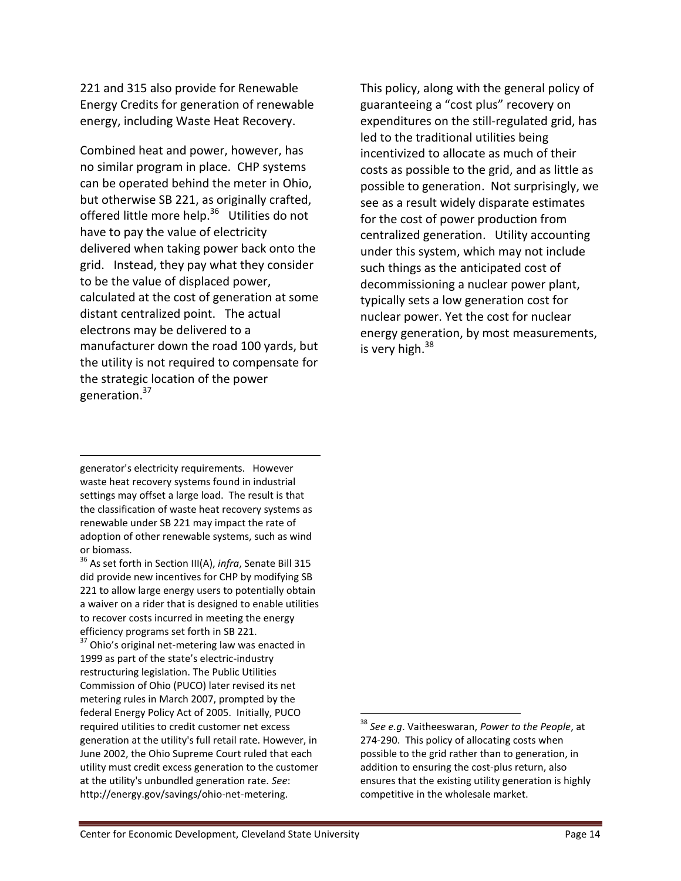221 and 315 also provide for Renewable Energy Credits for generation of renewable energy, including Waste Heat Recovery.

Combined heat and power, however, has no similar program in place. CHP systems can be operated behind the meter in Ohio, but otherwise SB 221, as originally crafted, offered little more help.<sup>36</sup> Utilities do not have to pay the value of electricity delivered when taking power back onto the grid. Instead, they pay what they consider to be the value of displaced power, calculated at the cost of generation at some distant centralized point. The actual electrons may be delivered to a manufacturer down the road 100 yards, but the utility is not required to compensate for the strategic location of the power generation. 37

generator's electricity requirements. However waste heat recovery systems found in industrial settings may offset a large load. The result is that the classification of waste heat recovery systems as renewable under SB 221 may impact the rate of adoption of other renewable systems, such as wind or biomass.

 $\overline{a}$ 

<sup>36</sup> As set forth in Section III(A), *infra*, Senate Bill 315 did provide new incentives for CHP by modifying SB 221 to allow large energy users to potentially obtain a waiver on a rider that is designed to enable utilities to recover costs incurred in meeting the energy efficiency programs set forth in SB 221.

 $37$  Ohio's original net-metering law was enacted in 1999 as part of the state's electric-industry restructuring legislation. The Public Utilities Commission of Ohio (PUCO) later revised its net metering rules in March 2007, prompted by the federal Energy Policy Act of 2005. Initially, PUCO required utilities to credit customer net excess generation at the utility's full retail rate. However, in June 2002, the Ohio Supreme Court ruled that each utility must credit excess generation to the customer at the utility's unbundled generation rate. *See*: http://energy.gov/savings/ohio-net-metering.

This policy, along with the general policy of guaranteeing a "cost plus" recovery on expenditures on the still-regulated grid, has led to the traditional utilities being incentivized to allocate as much of their costs as possible to the grid, and as little as possible to generation. Not surprisingly, we see as a result widely disparate estimates for the cost of power production from centralized generation. Utility accounting under this system, which may not include such things as the anticipated cost of decommissioning a nuclear power plant, typically sets a low generation cost for nuclear power. Yet the cost for nuclear energy generation, by most measurements, is very high.<sup>38</sup>

l

<sup>38</sup> *See e.g*. Vaitheeswaran, *Power to the People*, at 274-290. This policy of allocating costs when possible to the grid rather than to generation, in addition to ensuring the cost-plus return, also ensures that the existing utility generation is highly competitive in the wholesale market.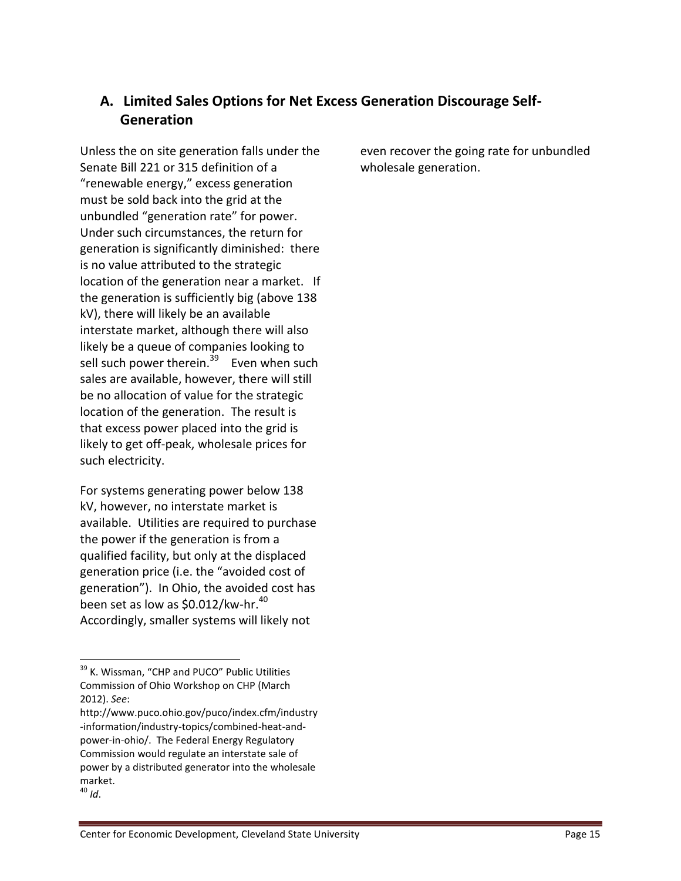# **A. Limited Sales Options for Net Excess Generation Discourage Self-Generation**

Unless the on site generation falls under the Senate Bill 221 or 315 definition of a "renewable energy," excess generation must be sold back into the grid at the unbundled "generation rate" for power. Under such circumstances, the return for generation is significantly diminished: there is no value attributed to the strategic location of the generation near a market. If the generation is sufficiently big (above 138 kV), there will likely be an available interstate market, although there will also likely be a queue of companies looking to sell such power therein.<sup>39</sup> Even when such sales are available, however, there will still be no allocation of value for the strategic location of the generation. The result is that excess power placed into the grid is likely to get off-peak, wholesale prices for such electricity.

For systems generating power below 138 kV, however, no interstate market is available. Utilities are required to purchase the power if the generation is from a qualified facility, but only at the displaced generation price (i.e. the "avoided cost of generation"). In Ohio, the avoided cost has been set as low as \$0.012/kw-hr.<sup>40</sup> Accordingly, smaller systems will likely not

l

even recover the going rate for unbundled wholesale generation.

<sup>&</sup>lt;sup>39</sup> K. Wissman, "CHP and PUCO" Public Utilities Commission of Ohio Workshop on CHP (March 2012). *See*:

http://www.puco.ohio.gov/puco/index.cfm/industry -information/industry-topics/combined-heat-andpower-in-ohio/. The Federal Energy Regulatory Commission would regulate an interstate sale of power by a distributed generator into the wholesale market.

<sup>40</sup> *Id*.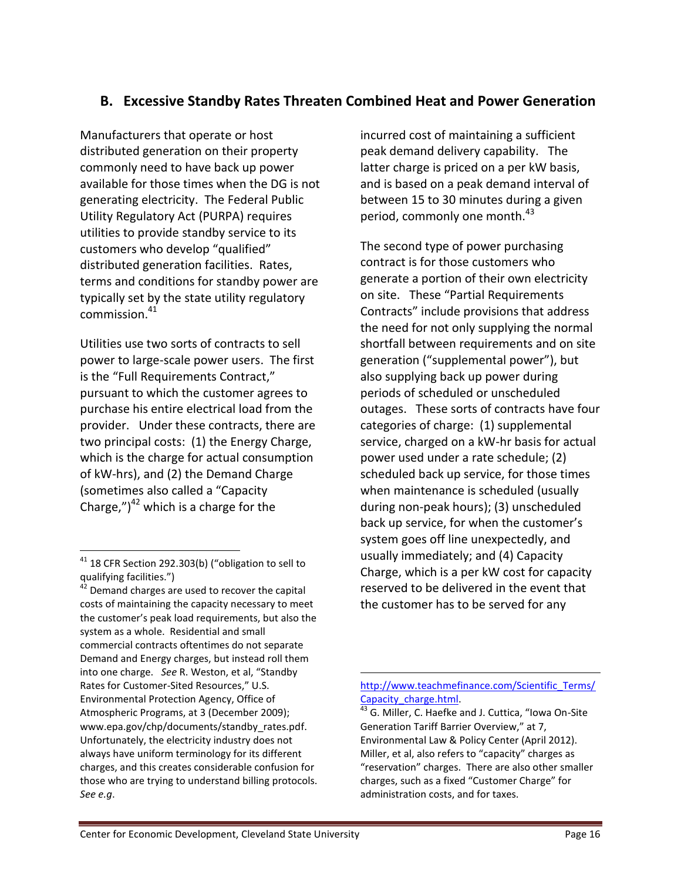# **B. Excessive Standby Rates Threaten Combined Heat and Power Generation**

Manufacturers that operate or host distributed generation on their property commonly need to have back up power available for those times when the DG is not generating electricity. The Federal Public Utility Regulatory Act (PURPA) requires utilities to provide standby service to its customers who develop "qualified" distributed generation facilities. Rates, terms and conditions for standby power are typically set by the state utility regulatory commission.<sup>41</sup>

Utilities use two sorts of contracts to sell power to large-scale power users. The first is the "Full Requirements Contract," pursuant to which the customer agrees to purchase his entire electrical load from the provider. Under these contracts, there are two principal costs: (1) the Energy Charge, which is the charge for actual consumption of kW-hrs), and (2) the Demand Charge (sometimes also called a "Capacity Charge,") $42$  which is a charge for the

 $\overline{a}$ 

incurred cost of maintaining a sufficient peak demand delivery capability. The latter charge is priced on a per kW basis, and is based on a peak demand interval of between 15 to 30 minutes during a given period, commonly one month.<sup>43</sup>

The second type of power purchasing contract is for those customers who generate a portion of their own electricity on site. These "Partial Requirements Contracts" include provisions that address the need for not only supplying the normal shortfall between requirements and on site generation ("supplemental power"), but also supplying back up power during periods of scheduled or unscheduled outages. These sorts of contracts have four categories of charge: (1) supplemental service, charged on a kW-hr basis for actual power used under a rate schedule; (2) scheduled back up service, for those times when maintenance is scheduled (usually during non-peak hours); (3) unscheduled back up service, for when the customer's system goes off line unexpectedly, and usually immediately; and (4) Capacity Charge, which is a per kW cost for capacity reserved to be delivered in the event that the customer has to be served for any

 $41$  18 CFR Section 292.303(b) ("obligation to sell to qualifying facilities.")

 $42$  Demand charges are used to recover the capital costs of maintaining the capacity necessary to meet the customer's peak load requirements, but also the system as a whole. Residential and small commercial contracts oftentimes do not separate Demand and Energy charges, but instead roll them into one charge. *See* R. Weston, et al, "Standby Rates for Customer-Sited Resources," U.S. Environmental Protection Agency, Office of Atmospheric Programs, at 3 (December 2009); www.epa.gov/chp/documents/standby\_rates.pdf. Unfortunately, the electricity industry does not always have uniform terminology for its different charges, and this creates considerable confusion for those who are trying to understand billing protocols. *See e.g*.

[http://www.teachmefinance.com/Scientific\\_Terms/](http://www.teachmefinance.com/Scientific_Terms/Capacity_charge.html) Capacity\_charge.html

 $^{43}$  G. Miller, C. Haefke and J. Cuttica, "Iowa On-Site Generation Tariff Barrier Overview," at 7, Environmental Law & Policy Center (April 2012). Miller, et al, also refers to "capacity" charges as "reservation" charges. There are also other smaller charges, such as a fixed "Customer Charge" for administration costs, and for taxes.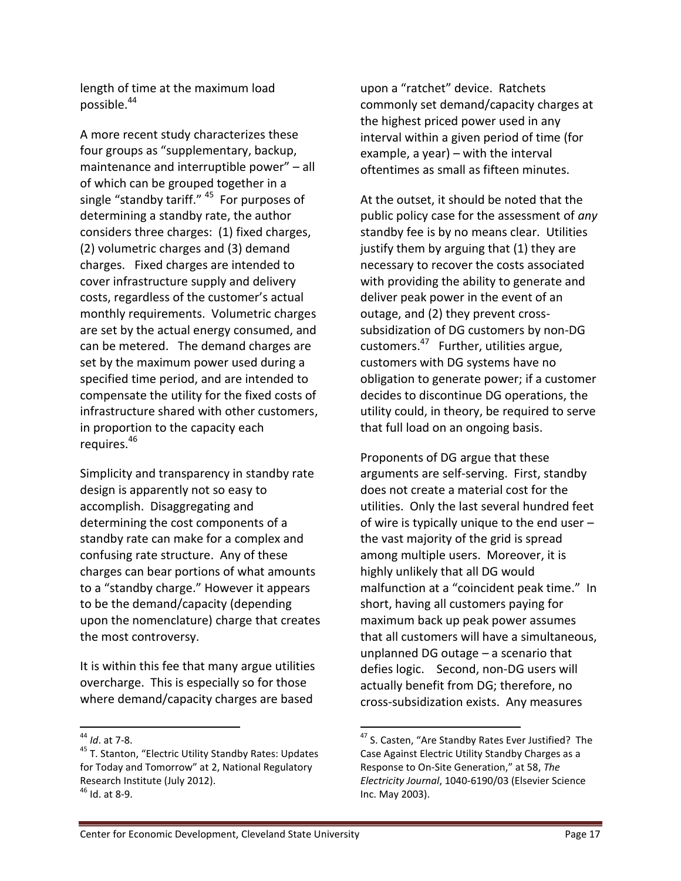length of time at the maximum load possible.<sup>44</sup>

A more recent study characterizes these four groups as "supplementary, backup, maintenance and interruptible power" – all of which can be grouped together in a single "standby tariff." <sup>45</sup> For purposes of determining a standby rate, the author considers three charges: (1) fixed charges, (2) volumetric charges and (3) demand charges. Fixed charges are intended to cover infrastructure supply and delivery costs, regardless of the customer's actual monthly requirements. Volumetric charges are set by the actual energy consumed, and can be metered. The demand charges are set by the maximum power used during a specified time period, and are intended to compensate the utility for the fixed costs of infrastructure shared with other customers, in proportion to the capacity each requires.<sup>46</sup>

Simplicity and transparency in standby rate design is apparently not so easy to accomplish. Disaggregating and determining the cost components of a standby rate can make for a complex and confusing rate structure. Any of these charges can bear portions of what amounts to a "standby charge." However it appears to be the demand/capacity (depending upon the nomenclature) charge that creates the most controversy.

It is within this fee that many argue utilities overcharge. This is especially so for those where demand/capacity charges are based

 $\overline{a}$ 

upon a "ratchet" device. Ratchets commonly set demand/capacity charges at the highest priced power used in any interval within a given period of time (for example, a year) – with the interval oftentimes as small as fifteen minutes.

At the outset, it should be noted that the public policy case for the assessment of *any* standby fee is by no means clear. Utilities justify them by arguing that (1) they are necessary to recover the costs associated with providing the ability to generate and deliver peak power in the event of an outage, and (2) they prevent crosssubsidization of DG customers by non-DG customers.<sup>47</sup> Further, utilities argue, customers with DG systems have no obligation to generate power; if a customer decides to discontinue DG operations, the utility could, in theory, be required to serve that full load on an ongoing basis.

Proponents of DG argue that these arguments are self-serving. First, standby does not create a material cost for the utilities. Only the last several hundred feet of wire is typically unique to the end user – the vast majority of the grid is spread among multiple users. Moreover, it is highly unlikely that all DG would malfunction at a "coincident peak time." In short, having all customers paying for maximum back up peak power assumes that all customers will have a simultaneous, unplanned DG outage – a scenario that defies logic. Second, non-DG users will actually benefit from DG; therefore, no cross-subsidization exists. Any measures

<sup>44</sup> *Id*. at 7-8.

<sup>&</sup>lt;sup>45</sup> T. Stanton, "Electric Utility Standby Rates: Updates for Today and Tomorrow" at 2, National Regulatory Research Institute (July 2012).  $46$  Id. at 8-9.

<sup>&</sup>lt;sup>47</sup> S. Casten, "Are Standby Rates Ever Justified? The Case Against Electric Utility Standby Charges as a Response to On-Site Generation," at 58, *The Electricity Journal*, 1040-6190/03 (Elsevier Science Inc. May 2003).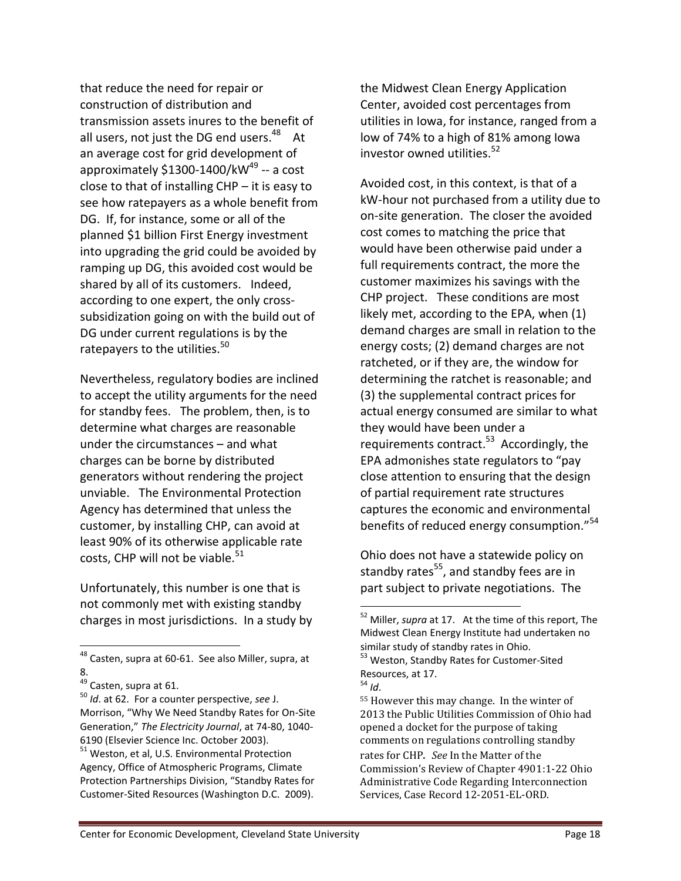that reduce the need for repair or construction of distribution and transmission assets inures to the benefit of all users, not just the DG end users.<sup>48</sup> At an average cost for grid development of approximately \$1300-1400/kW<sup>49</sup> -- a cost close to that of installing CHP – it is easy to see how ratepayers as a whole benefit from DG. If, for instance, some or all of the planned \$1 billion First Energy investment into upgrading the grid could be avoided by ramping up DG, this avoided cost would be shared by all of its customers. Indeed, according to one expert, the only crosssubsidization going on with the build out of DG under current regulations is by the ratepayers to the utilities.<sup>50</sup>

Nevertheless, regulatory bodies are inclined to accept the utility arguments for the need for standby fees. The problem, then, is to determine what charges are reasonable under the circumstances – and what charges can be borne by distributed generators without rendering the project unviable. The Environmental Protection Agency has determined that unless the customer, by installing CHP, can avoid at least 90% of its otherwise applicable rate costs, CHP will not be viable.<sup>51</sup>

Unfortunately, this number is one that is not commonly met with existing standby charges in most jurisdictions. In a study by

 $\overline{a}$ 

the Midwest Clean Energy Application Center, avoided cost percentages from utilities in Iowa, for instance, ranged from a low of 74% to a high of 81% among Iowa investor owned utilities.<sup>52</sup>

Avoided cost, in this context, is that of a kW-hour not purchased from a utility due to on-site generation. The closer the avoided cost comes to matching the price that would have been otherwise paid under a full requirements contract, the more the customer maximizes his savings with the CHP project. These conditions are most likely met, according to the EPA, when (1) demand charges are small in relation to the energy costs; (2) demand charges are not ratcheted, or if they are, the window for determining the ratchet is reasonable; and (3) the supplemental contract prices for actual energy consumed are similar to what they would have been under a requirements contract.<sup>53</sup> Accordingly, the EPA admonishes state regulators to "pay close attention to ensuring that the design of partial requirement rate structures captures the economic and environmental benefits of reduced energy consumption."<sup>54</sup>

Ohio does not have a statewide policy on standby rates<sup>55</sup>, and standby fees are in part subject to private negotiations. The

<sup>&</sup>lt;sup>48</sup> Casten, supra at 60-61. See also Miller, supra, at 8.

<sup>&</sup>lt;sup>49</sup> Casten, supra at 61.

<sup>50</sup> *Id*. at 62. For a counter perspective, *see* J. Morrison, "Why We Need Standby Rates for On-Site Generation," *The Electricity Journal*, at 74-80, 1040- 6190 (Elsevier Science Inc. October 2003).

<sup>&</sup>lt;sup>51</sup> Weston, et al, U.S. Environmental Protection Agency, Office of Atmospheric Programs, Climate Protection Partnerships Division, "Standby Rates for Customer-Sited Resources (Washington D.C. 2009).

<sup>52</sup> Miller, *supra* at 17. At the time of this report, The Midwest Clean Energy Institute had undertaken no similar study of standby rates in Ohio.

<sup>&</sup>lt;sup>53</sup> Weston, Standby Rates for Customer-Sited Resources, at 17.  $^{54}$  *Id.* 

<sup>55</sup> However this may change. In the winter of 2013 the Public Utilities Commission of Ohio had opened a docket for the purpose of taking comments on regulations controlling standby

rates for CHP. *See* In the Matter of the Commission's Review of Chapter 4901:1-22 Ohio Administrative Code Regarding Interconnection Services, Case Record 12-2051-EL-ORD.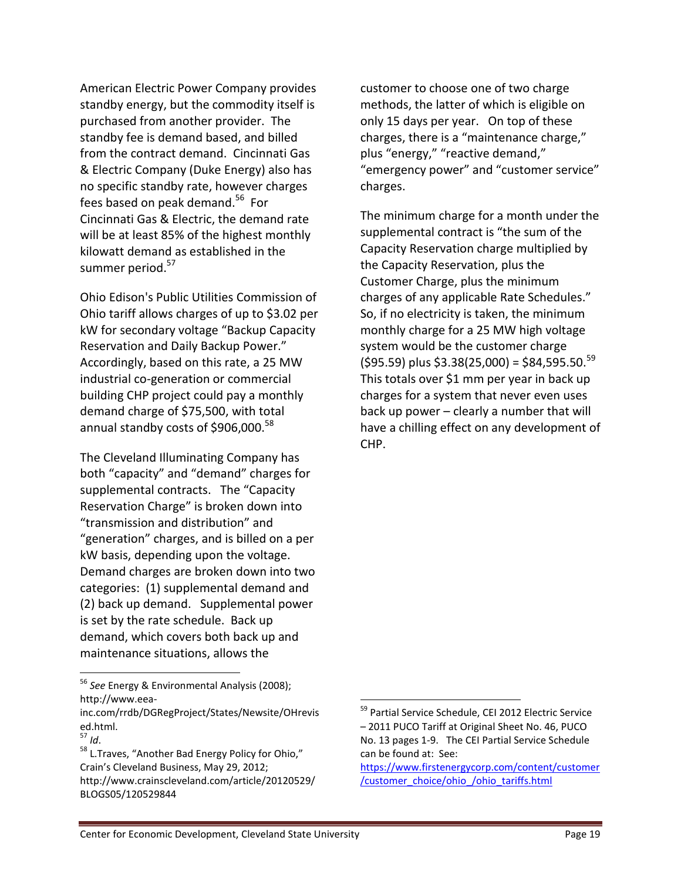American Electric Power Company provides standby energy, but the commodity itself is purchased from another provider. The standby fee is demand based, and billed from the contract demand. Cincinnati Gas & Electric Company (Duke Energy) also has no specific standby rate, however charges fees based on peak demand.<sup>56</sup> For Cincinnati Gas & Electric, the demand rate will be at least 85% of the highest monthly kilowatt demand as established in the summer period.<sup>57</sup>

Ohio Edison's Public Utilities Commission of Ohio tariff allows charges of up to \$3.02 per kW for secondary voltage "Backup Capacity Reservation and Daily Backup Power." Accordingly, based on this rate, a 25 MW industrial co-generation or commercial building CHP project could pay a monthly demand charge of \$75,500, with total annual standby costs of \$906,000. $^{58}$ 

The Cleveland Illuminating Company has both "capacity" and "demand" charges for supplemental contracts. The "Capacity Reservation Charge" is broken down into "transmission and distribution" and "generation" charges, and is billed on a per kW basis, depending upon the voltage. Demand charges are broken down into two categories: (1) supplemental demand and (2) back up demand. Supplemental power is set by the rate schedule. Back up demand, which covers both back up and maintenance situations, allows the

<sup>56</sup> *See* Energy & Environmental Analysis (2008); http://www.eea-

 $\overline{a}$ 

customer to choose one of two charge methods, the latter of which is eligible on only 15 days per year. On top of these charges, there is a "maintenance charge," plus "energy," "reactive demand," "emergency power" and "customer service" charges.

The minimum charge for a month under the supplemental contract is "the sum of the Capacity Reservation charge multiplied by the Capacity Reservation, plus the Customer Charge, plus the minimum charges of any applicable Rate Schedules." So, if no electricity is taken, the minimum monthly charge for a 25 MW high voltage system would be the customer charge  $($ \$95.59) plus \$3.38(25,000) = \$84,595.50. $^{59}$ This totals over \$1 mm per year in back up charges for a system that never even uses back up power – clearly a number that will have a chilling effect on any development of CHP.

inc.com/rrdb/DGRegProject/States/Newsite/OHrevis ed.html.

<sup>57</sup> *Id*.

<sup>58</sup> L.Traves, "Another Bad Energy Policy for Ohio," Crain's Cleveland Business, May 29, 2012; http://www.crainscleveland.com/article/20120529/ BLOGS05/120529844

<sup>&</sup>lt;sup>59</sup> Partial Service Schedule, CEI 2012 Electric Service – 2011 PUCO Tariff at Original Sheet No. 46, PUCO No. 13 pages 1-9. The CEI Partial Service Schedule can be found at: See:

[https://www.firstenergycorp.com/content/customer](https://www.firstenergycorp.com/content/customer/customer_choice/ohio_/ohio_tariffs.html) [/customer\\_choice/ohio\\_/ohio\\_tariffs.html](https://www.firstenergycorp.com/content/customer/customer_choice/ohio_/ohio_tariffs.html)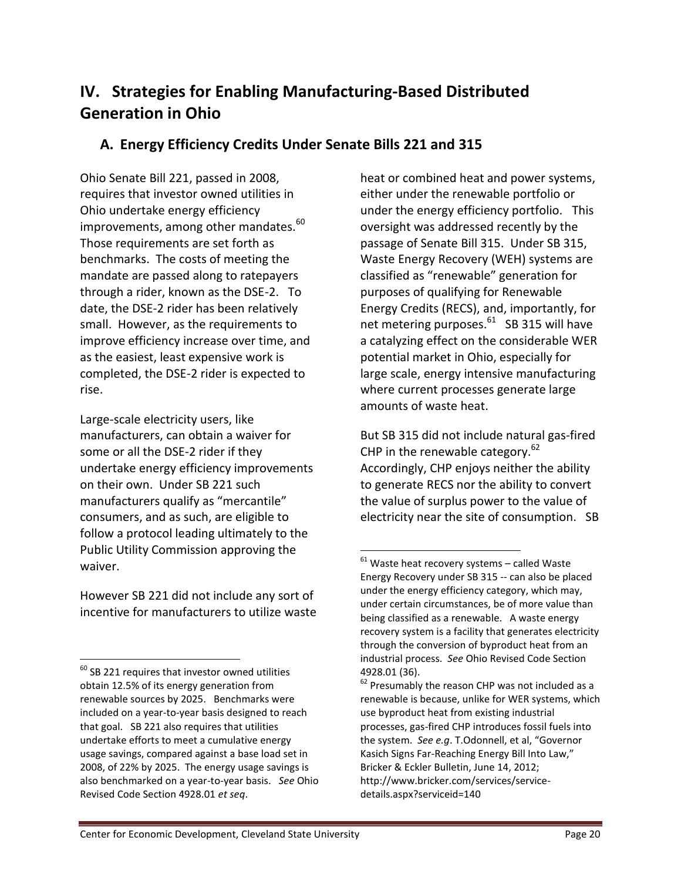# **IV. Strategies for Enabling Manufacturing-Based Distributed Generation in Ohio**

# **A. Energy Efficiency Credits Under Senate Bills 221 and 315**

Ohio Senate Bill 221, passed in 2008, requires that investor owned utilities in Ohio undertake energy efficiency improvements, among other mandates. $^{60}$ Those requirements are set forth as benchmarks. The costs of meeting the mandate are passed along to ratepayers through a rider, known as the DSE-2. To date, the DSE-2 rider has been relatively small. However, as the requirements to improve efficiency increase over time, and as the easiest, least expensive work is completed, the DSE-2 rider is expected to rise.

Large-scale electricity users, like manufacturers, can obtain a waiver for some or all the DSE-2 rider if they undertake energy efficiency improvements on their own. Under SB 221 such manufacturers qualify as "mercantile" consumers, and as such, are eligible to follow a protocol leading ultimately to the Public Utility Commission approving the waiver.

However SB 221 did not include any sort of incentive for manufacturers to utilize waste

l

heat or combined heat and power systems, either under the renewable portfolio or under the energy efficiency portfolio. This oversight was addressed recently by the passage of Senate Bill 315. Under SB 315, Waste Energy Recovery (WEH) systems are classified as "renewable" generation for purposes of qualifying for Renewable Energy Credits (RECS), and, importantly, for net metering purposes.<sup>61</sup> SB 315 will have a catalyzing effect on the considerable WER potential market in Ohio, especially for large scale, energy intensive manufacturing where current processes generate large amounts of waste heat.

But SB 315 did not include natural gas-fired CHP in the renewable category.<sup>62</sup> Accordingly, CHP enjoys neither the ability to generate RECS nor the ability to convert the value of surplus power to the value of electricity near the site of consumption. SB

 $60$  SB 221 requires that investor owned utilities obtain 12.5% of its energy generation from renewable sources by 2025. Benchmarks were included on a year-to-year basis designed to reach that goal. SB 221 also requires that utilities undertake efforts to meet a cumulative energy usage savings, compared against a base load set in 2008, of 22% by 2025. The energy usage savings is also benchmarked on a year-to-year basis. *See* Ohio Revised Code Section 4928.01 *et seq*.

 $61$  Waste heat recovery systems – called Waste Energy Recovery under SB 315 -- can also be placed under the energy efficiency category, which may, under certain circumstances, be of more value than being classified as a renewable. A waste energy recovery system is a facility that generates electricity through the conversion of byproduct heat from an industrial process. *See* Ohio Revised Code Section 4928.01 (36).

 $62$  Presumably the reason CHP was not included as a renewable is because, unlike for WER systems, which use byproduct heat from existing industrial processes, gas-fired CHP introduces fossil fuels into the system. *See e.g*. T.Odonnell, et al, "Governor Kasich Signs Far-Reaching Energy Bill Into Law," Bricker & Eckler Bulletin, June 14, 2012; http://www.bricker.com/services/servicedetails.aspx?serviceid=140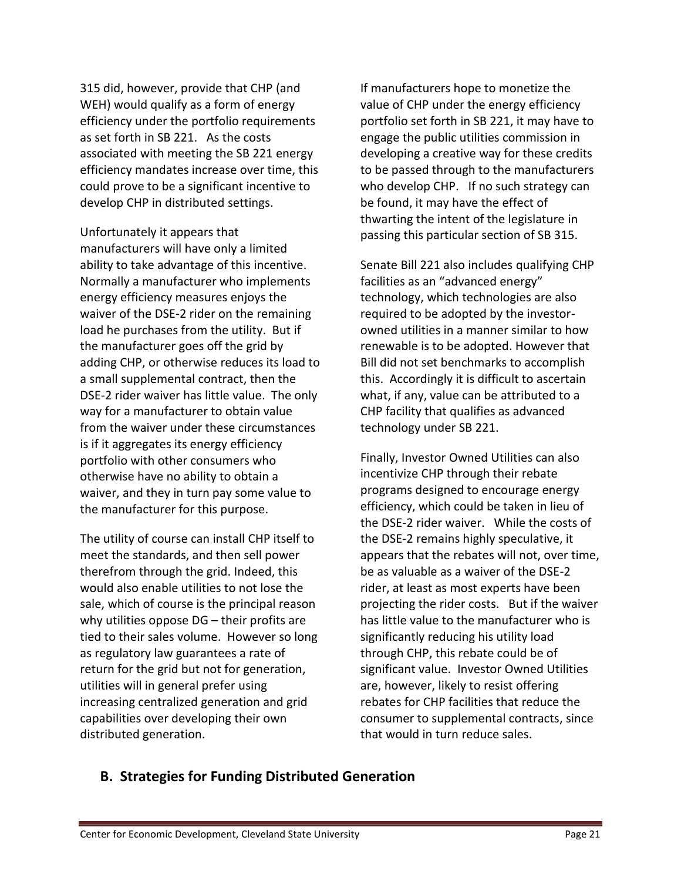315 did, however, provide that CHP (and WEH) would qualify as a form of energy efficiency under the portfolio requirements as set forth in SB 221. As the costs associated with meeting the SB 221 energy efficiency mandates increase over time, this could prove to be a significant incentive to develop CHP in distributed settings.

Unfortunately it appears that manufacturers will have only a limited ability to take advantage of this incentive. Normally a manufacturer who implements energy efficiency measures enjoys the waiver of the DSE-2 rider on the remaining load he purchases from the utility. But if the manufacturer goes off the grid by adding CHP, or otherwise reduces its load to a small supplemental contract, then the DSE-2 rider waiver has little value. The only way for a manufacturer to obtain value from the waiver under these circumstances is if it aggregates its energy efficiency portfolio with other consumers who otherwise have no ability to obtain a waiver, and they in turn pay some value to the manufacturer for this purpose.

The utility of course can install CHP itself to meet the standards, and then sell power therefrom through the grid. Indeed, this would also enable utilities to not lose the sale, which of course is the principal reason why utilities oppose DG – their profits are tied to their sales volume. However so long as regulatory law guarantees a rate of return for the grid but not for generation, utilities will in general prefer using increasing centralized generation and grid capabilities over developing their own distributed generation.

If manufacturers hope to monetize the value of CHP under the energy efficiency portfolio set forth in SB 221, it may have to engage the public utilities commission in developing a creative way for these credits to be passed through to the manufacturers who develop CHP. If no such strategy can be found, it may have the effect of thwarting the intent of the legislature in passing this particular section of SB 315.

Senate Bill 221 also includes qualifying CHP facilities as an "advanced energy" technology, which technologies are also required to be adopted by the investorowned utilities in a manner similar to how renewable is to be adopted. However that Bill did not set benchmarks to accomplish this. Accordingly it is difficult to ascertain what, if any, value can be attributed to a CHP facility that qualifies as advanced technology under SB 221.

Finally, Investor Owned Utilities can also incentivize CHP through their rebate programs designed to encourage energy efficiency, which could be taken in lieu of the DSE-2 rider waiver. While the costs of the DSE-2 remains highly speculative, it appears that the rebates will not, over time, be as valuable as a waiver of the DSE-2 rider, at least as most experts have been projecting the rider costs. But if the waiver has little value to the manufacturer who is significantly reducing his utility load through CHP, this rebate could be of significant value. Investor Owned Utilities are, however, likely to resist offering rebates for CHP facilities that reduce the consumer to supplemental contracts, since that would in turn reduce sales.

### **B. Strategies for Funding Distributed Generation**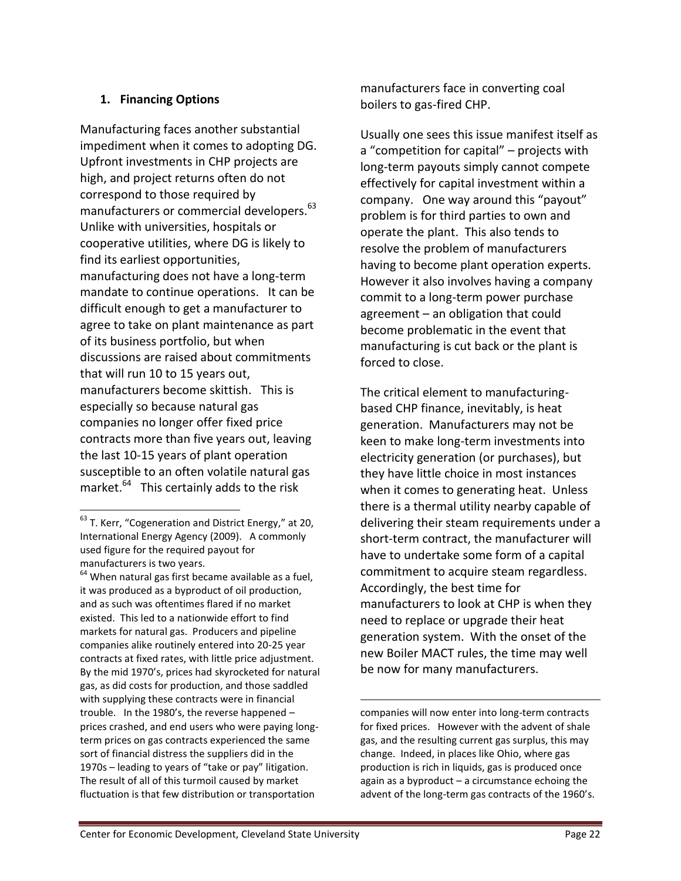### **1. Financing Options**

Manufacturing faces another substantial impediment when it comes to adopting DG. Upfront investments in CHP projects are high, and project returns often do not correspond to those required by manufacturers or commercial developers.<sup>63</sup> Unlike with universities, hospitals or cooperative utilities, where DG is likely to find its earliest opportunities, manufacturing does not have a long-term mandate to continue operations. It can be difficult enough to get a manufacturer to agree to take on plant maintenance as part of its business portfolio, but when discussions are raised about commitments that will run 10 to 15 years out, manufacturers become skittish. This is especially so because natural gas companies no longer offer fixed price contracts more than five years out, leaving the last 10-15 years of plant operation susceptible to an often volatile natural gas market.<sup>64</sup> This certainly adds to the risk

 $\overline{a}$ 

manufacturers face in converting coal boilers to gas-fired CHP.

Usually one sees this issue manifest itself as a "competition for capital" – projects with long-term payouts simply cannot compete effectively for capital investment within a company. One way around this "payout" problem is for third parties to own and operate the plant. This also tends to resolve the problem of manufacturers having to become plant operation experts. However it also involves having a company commit to a long-term power purchase agreement – an obligation that could become problematic in the event that manufacturing is cut back or the plant is forced to close.

The critical element to manufacturingbased CHP finance, inevitably, is heat generation. Manufacturers may not be keen to make long-term investments into electricity generation (or purchases), but they have little choice in most instances when it comes to generating heat. Unless there is a thermal utility nearby capable of delivering their steam requirements under a short-term contract, the manufacturer will have to undertake some form of a capital commitment to acquire steam regardless. Accordingly, the best time for manufacturers to look at CHP is when they need to replace or upgrade their heat generation system. With the onset of the new Boiler MACT rules, the time may well be now for many manufacturers.

companies will now enter into long-term contracts for fixed prices. However with the advent of shale gas, and the resulting current gas surplus, this may change. Indeed, in places like Ohio, where gas production is rich in liquids, gas is produced once again as a byproduct – a circumstance echoing the advent of the long-term gas contracts of the 1960's.

 $^{63}$  T. Kerr, "Cogeneration and District Energy," at 20, International Energy Agency (2009). A commonly used figure for the required payout for manufacturers is two years.

 $64$  When natural gas first became available as a fuel, it was produced as a byproduct of oil production, and as such was oftentimes flared if no market existed. This led to a nationwide effort to find markets for natural gas. Producers and pipeline companies alike routinely entered into 20-25 year contracts at fixed rates, with little price adjustment. By the mid 1970's, prices had skyrocketed for natural gas, as did costs for production, and those saddled with supplying these contracts were in financial trouble. In the 1980's, the reverse happened – prices crashed, and end users who were paying longterm prices on gas contracts experienced the same sort of financial distress the suppliers did in the 1970s – leading to years of "take or pay" litigation. The result of all of this turmoil caused by market fluctuation is that few distribution or transportation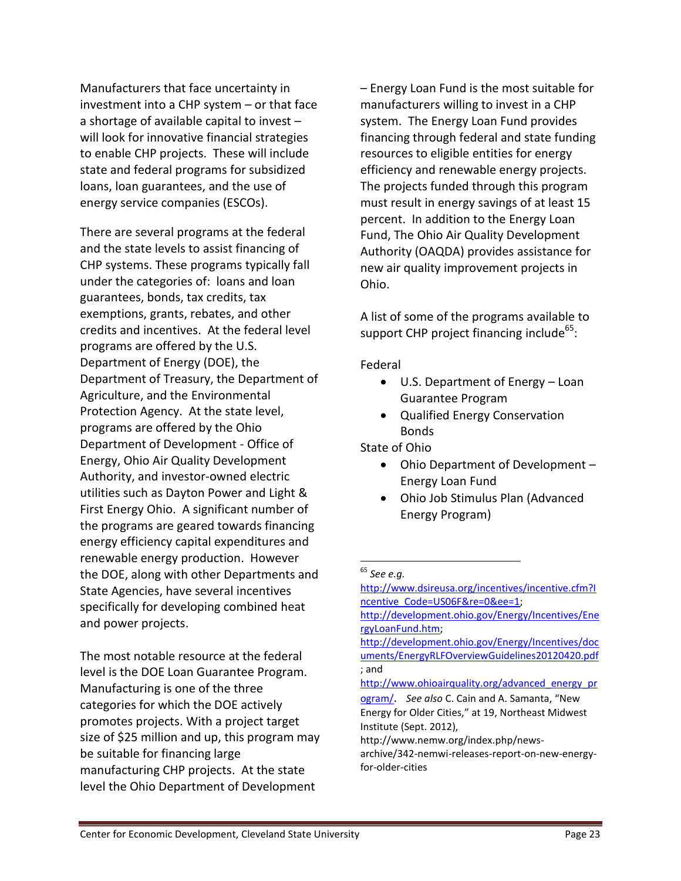Manufacturers that face uncertainty in investment into a CHP system – or that face a shortage of available capital to invest – will look for innovative financial strategies to enable CHP projects. These will include state and federal programs for subsidized loans, loan guarantees, and the use of energy service companies (ESCOs).

There are several programs at the federal and the state levels to assist financing of CHP systems. These programs typically fall under the categories of: loans and loan guarantees, bonds, tax credits, tax exemptions, grants, rebates, and other credits and incentives. At the federal level programs are offered by the U.S. Department of Energy (DOE), the Department of Treasury, the Department of Agriculture, and the Environmental Protection Agency. At the state level, programs are offered by the Ohio Department of Development - Office of Energy, Ohio Air Quality Development Authority, and investor-owned electric utilities such as Dayton Power and Light & First Energy Ohio. A significant number of the programs are geared towards financing energy efficiency capital expenditures and renewable energy production. However the DOE, along with other Departments and State Agencies, have several incentives specifically for developing combined heat and power projects.

The most notable resource at the federal level is the DOE Loan Guarantee Program. Manufacturing is one of the three categories for which the DOE actively promotes projects. With a project target size of \$25 million and up, this program may be suitable for financing large manufacturing CHP projects. At the state level the Ohio Department of Development

– Energy Loan Fund is the most suitable for manufacturers willing to invest in a CHP system. The Energy Loan Fund provides financing through federal and state funding resources to eligible entities for energy efficiency and renewable energy projects. The projects funded through this program must result in energy savings of at least 15 percent. In addition to the Energy Loan Fund, The Ohio Air Quality Development Authority (OAQDA) provides assistance for new air quality improvement projects in Ohio.

A list of some of the programs available to support CHP project financing include<sup>65</sup>:

Federal

- U.S. Department of Energy Loan Guarantee Program
- Qualified Energy Conservation Bonds

State of Ohio

- Ohio Department of Development Energy Loan Fund
- Ohio Job Stimulus Plan (Advanced Energy Program)

 $\overline{a}$ 

http://www.ohioairquality.org/advanced energy pr

<sup>65</sup> *See e.g.*

[http://www.dsireusa.org/incentives/incentive.cfm?I](http://www.dsireusa.org/incentives/incentive.cfm?Incentive_Code=US06F&re=0&ee=1) [ncentive\\_Code=US06F&re=0&ee=1;](http://www.dsireusa.org/incentives/incentive.cfm?Incentive_Code=US06F&re=0&ee=1)

[http://development.ohio.gov/Energy/Incentives/Ene](http://development.ohio.gov/Energy/Incentives/EnergyLoanFund.htm) [rgyLoanFund.htm;](http://development.ohio.gov/Energy/Incentives/EnergyLoanFund.htm)

[http://development.ohio.gov/Energy/Incentives/doc](http://development.ohio.gov/Energy/Incentives/documents/EnergyRLFOverviewGuidelines20120420.pdf) [uments/EnergyRLFOverviewGuidelines20120420.pdf](http://development.ohio.gov/Energy/Incentives/documents/EnergyRLFOverviewGuidelines20120420.pdf) ; and

[ogram/](http://www.ohioairquality.org/advanced_energy_program/). *See also* C. Cain and A. Samanta, "New Energy for Older Cities," at 19, Northeast Midwest Institute (Sept. 2012),

http://www.nemw.org/index.php/news-

archive/342-nemwi-releases-report-on-new-energyfor-older-cities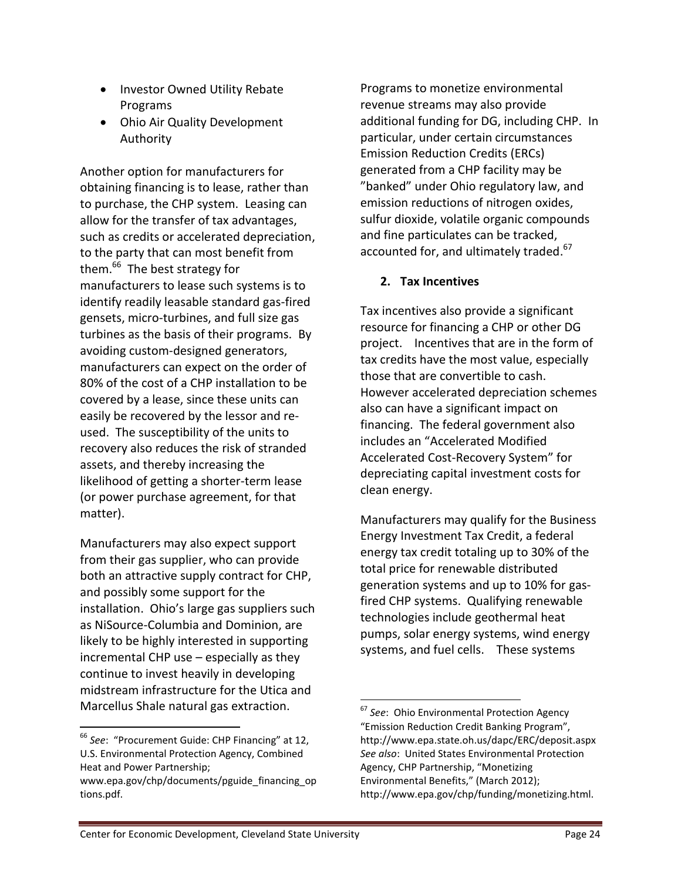- Investor Owned Utility Rebate Programs
- Ohio Air Quality Development Authority

Another option for manufacturers for obtaining financing is to lease, rather than to purchase, the CHP system. Leasing can allow for the transfer of tax advantages, such as credits or accelerated depreciation, to the party that can most benefit from them.<sup>66</sup> The best strategy for manufacturers to lease such systems is to identify readily leasable standard gas-fired gensets, micro-turbines, and full size gas turbines as the basis of their programs. By avoiding custom-designed generators, manufacturers can expect on the order of 80% of the cost of a CHP installation to be covered by a lease, since these units can easily be recovered by the lessor and reused. The susceptibility of the units to recovery also reduces the risk of stranded assets, and thereby increasing the likelihood of getting a shorter-term lease (or power purchase agreement, for that matter).

Manufacturers may also expect support from their gas supplier, who can provide both an attractive supply contract for CHP, and possibly some support for the installation. Ohio's large gas suppliers such as NiSource-Columbia and Dominion, are likely to be highly interested in supporting incremental CHP use – especially as they continue to invest heavily in developing midstream infrastructure for the Utica and Marcellus Shale natural gas extraction.

 $\overline{a}$ 

Programs to monetize environmental revenue streams may also provide additional funding for DG, including CHP. In particular, under certain circumstances Emission Reduction Credits (ERCs) generated from a CHP facility may be "banked" under Ohio regulatory law, and emission reductions of nitrogen oxides, sulfur dioxide, volatile organic compounds and fine particulates can be tracked, accounted for, and ultimately traded.<sup>67</sup>

### **2. Tax Incentives**

Tax incentives also provide a significant resource for financing a CHP or other DG project. Incentives that are in the form of tax credits have the most value, especially those that are convertible to cash. However accelerated depreciation schemes also can have a significant impact on financing. The federal government also includes an "Accelerated Modified Accelerated Cost-Recovery System" for depreciating capital investment costs for clean energy.

Manufacturers may qualify for the Business Energy Investment Tax Credit, a federal energy tax credit totaling up to 30% of the total price for renewable distributed generation systems and up to 10% for gasfired CHP systems. Qualifying renewable technologies include geothermal heat pumps, solar energy systems, wind energy systems, and fuel cells. These systems

<sup>66</sup> *See*: "Procurement Guide: CHP Financing" at 12, U.S. Environmental Protection Agency, Combined Heat and Power Partnership;

www.epa.gov/chp/documents/pguide\_financing\_op tions.pdf.

 $\overline{a}$ <sup>67</sup> *See*: Ohio Environmental Protection Agency "Emission Reduction Credit Banking Program", http://www.epa.state.oh.us/dapc/ERC/deposit.aspx *See also*: United States Environmental Protection Agency, CHP Partnership, "Monetizing Environmental Benefits," (March 2012); http://www.epa.gov/chp/funding/monetizing.html.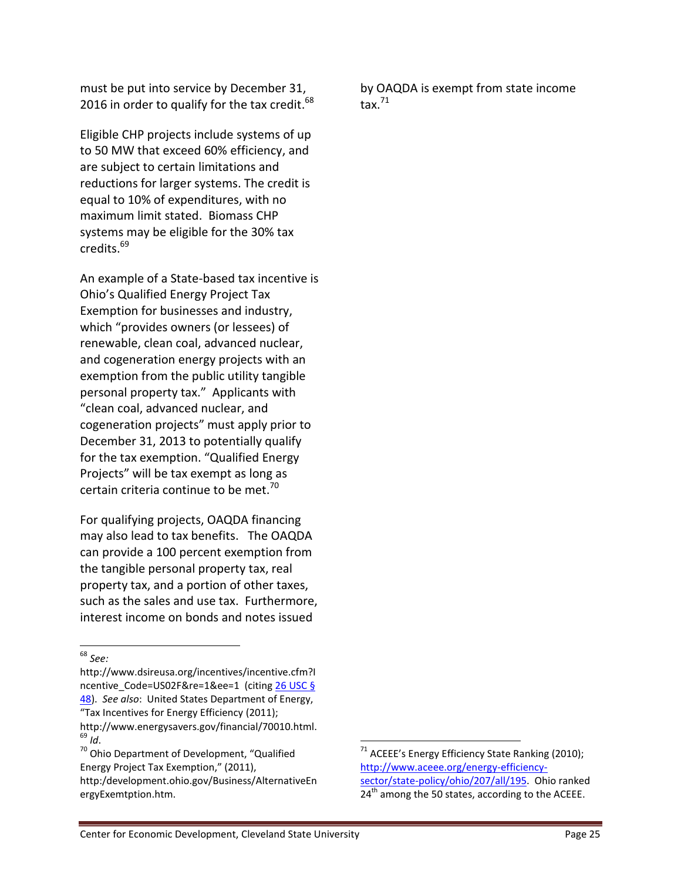must be put into service by December 31, 2016 in order to qualify for the tax credit.  $^{68}$ 

Eligible CHP projects include systems of up to 50 MW that exceed 60% efficiency, and are subject to certain limitations and reductions for larger systems. The credit is equal to 10% of expenditures, with no maximum limit stated. Biomass CHP systems may be eligible for the 30% tax credits.<sup>69</sup>

An example of a State-based tax incentive is Ohio's Qualified Energy Project Tax Exemption for businesses and industry, which "provides owners (or lessees) of renewable, clean coal, advanced nuclear, and cogeneration energy projects with an exemption from the public utility tangible personal property tax." Applicants with "clean coal, advanced nuclear, and cogeneration projects" must apply prior to December 31, 2013 to potentially qualify for the tax exemption. "Qualified Energy Projects" will be tax exempt as long as certain criteria continue to be met.<sup>70</sup>

For qualifying projects, OAQDA financing may also lead to tax benefits. The OAQDA can provide a 100 percent exemption from the tangible personal property tax, real property tax, and a portion of other taxes, such as the sales and use tax. Furthermore, interest income on bonds and notes issued

 $\overline{a}$ 

http://www.dsireusa.org/incentives/incentive.cfm?I ncentive\_Code=US02F&re=1&ee=1 (citin[g 26 USC §](http://www.dsireusa.org/documents/Incentives/US02F.htm)  [48\)](http://www.dsireusa.org/documents/Incentives/US02F.htm). *See also*: United States Department of Energy, "Tax Incentives for Energy Efficiency (2011); http://www.energysavers.gov/financial/70010.html.  $69$  *Id.* 

by OAQDA is exempt from state income tax. $71$ 

<sup>68</sup> *See:*

<sup>&</sup>lt;sup>70</sup> Ohio Department of Development, "Qualified Energy Project Tax Exemption," (2011), http:/development.ohio.gov/Business/AlternativeEn ergyExemtption.htm.

 $71$  ACEEE's Energy Efficiency State Ranking (2010); [http://www.aceee.org/energy-efficiency](http://www.aceee.org/energy-efficiency-sector/state-policy/ohio/207/all/195)[sector/state-policy/ohio/207/all/195.](http://www.aceee.org/energy-efficiency-sector/state-policy/ohio/207/all/195) Ohio ranked  $24<sup>th</sup>$  among the 50 states, according to the ACEEE.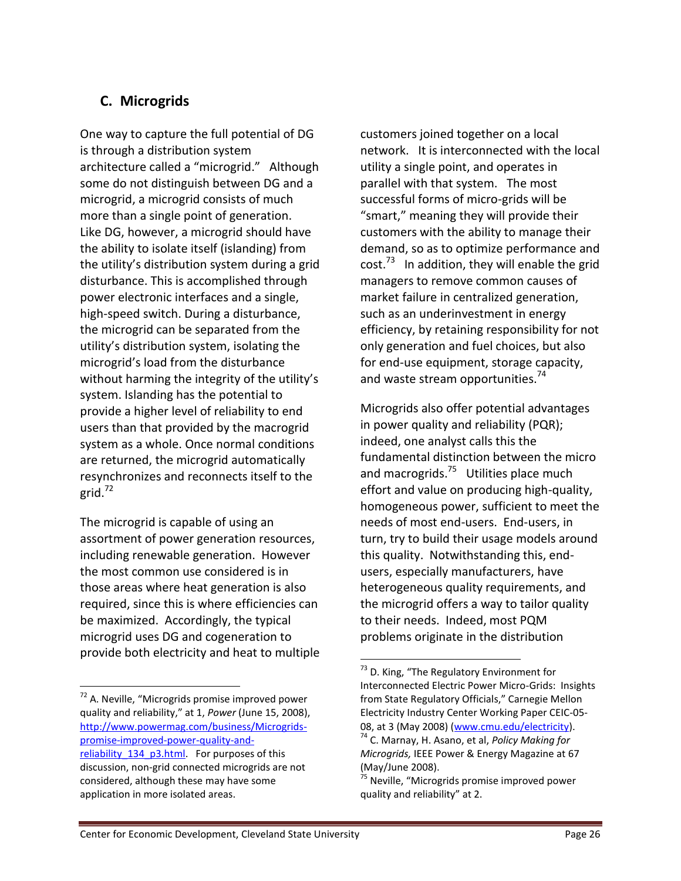# **C. Microgrids**

One way to capture the full potential of DG is through a distribution system architecture called a "microgrid." Although some do not distinguish between DG and a microgrid, a microgrid consists of much more than a single point of generation. Like DG, however, a microgrid should have the ability to isolate itself (islanding) from the utility's distribution system during a grid disturbance. This is accomplished through power electronic interfaces and a single, high-speed switch. During a disturbance, the microgrid can be separated from the utility's distribution system, isolating the microgrid's load from the disturbance without harming the integrity of the utility's system. Islanding has the potential to provide a higher level of reliability to end users than that provided by the macrogrid system as a whole. Once normal conditions are returned, the microgrid automatically resynchronizes and reconnects itself to the grid. 72

The microgrid is capable of using an assortment of power generation resources, including renewable generation. However the most common use considered is in those areas where heat generation is also required, since this is where efficiencies can be maximized. Accordingly, the typical microgrid uses DG and cogeneration to provide both electricity and heat to multiple

l

customers joined together on a local network. It is interconnected with the local utility a single point, and operates in parallel with that system. The most successful forms of micro-grids will be "smart," meaning they will provide their customers with the ability to manage their demand, so as to optimize performance and cost.<sup>73</sup> In addition, they will enable the grid managers to remove common causes of market failure in centralized generation, such as an underinvestment in energy efficiency, by retaining responsibility for not only generation and fuel choices, but also for end-use equipment, storage capacity, and waste stream opportunities.<sup>74</sup>

Microgrids also offer potential advantages in power quality and reliability (PQR); indeed, one analyst calls this the fundamental distinction between the micro and macrogrids.<sup>75</sup> Utilities place much effort and value on producing high-quality, homogeneous power, sufficient to meet the needs of most end-users. End-users, in turn, try to build their usage models around this quality. Notwithstanding this, endusers, especially manufacturers, have heterogeneous quality requirements, and the microgrid offers a way to tailor quality to their needs. Indeed, most PQM problems originate in the distribution

l

<sup>72</sup> A. Neville, "Microgrids promise improved power quality and reliability," at 1, *Power* (June 15, 2008), [http://www.powermag.com/business/Microgrids](http://www.powermag.com/business/Microgrids-promise-improved-power-quality-and-reliability_134_p3.html)[promise-improved-power-quality-and-](http://www.powermag.com/business/Microgrids-promise-improved-power-quality-and-reliability_134_p3.html)

reliability 134 p3.html. For purposes of this discussion, non-grid connected microgrids are not considered, although these may have some application in more isolated areas.

<sup>&</sup>lt;sup>73</sup> D. King, "The Regulatory Environment for Interconnected Electric Power Micro-Grids: Insights from State Regulatory Officials," Carnegie Mellon Electricity Industry Center Working Paper CEIC-05- 08, at 3 (May 2008) [\(www.cmu.edu/electricity\)](http://www.cmu.edu/electricity). <sup>74</sup> C. Marnay, H. Asano, et al, *Policy Making for* 

*Microgrids,* IEEE Power & Energy Magazine at 67 (May/June 2008).

<sup>&</sup>lt;sup>75</sup> Neville, "Microgrids promise improved power quality and reliability" at 2.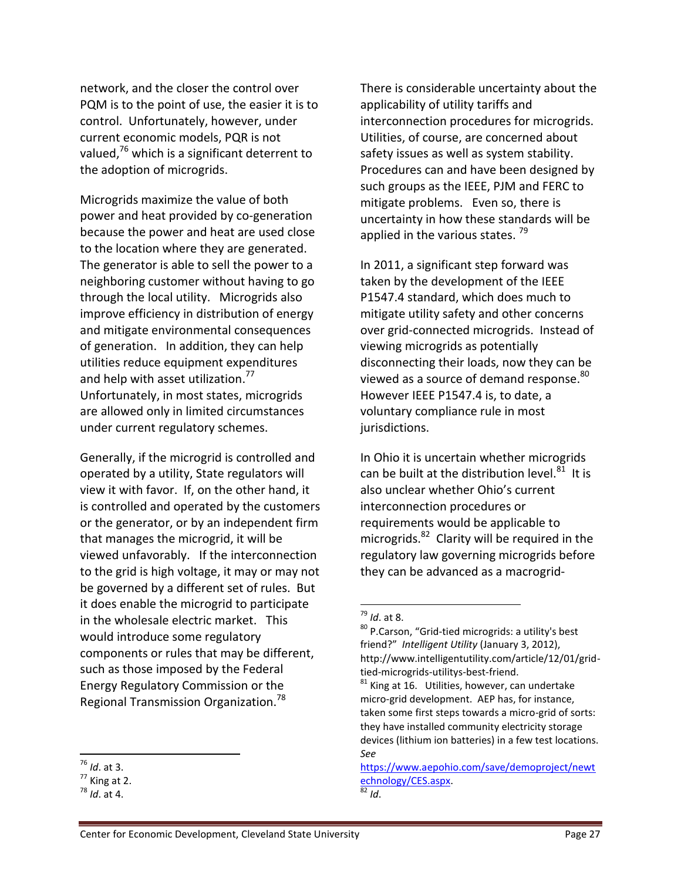network, and the closer the control over PQM is to the point of use, the easier it is to control. Unfortunately, however, under current economic models, PQR is not valued,<sup>76</sup> which is a significant deterrent to the adoption of microgrids.

Microgrids maximize the value of both power and heat provided by co-generation because the power and heat are used close to the location where they are generated. The generator is able to sell the power to a neighboring customer without having to go through the local utility. Microgrids also improve efficiency in distribution of energy and mitigate environmental consequences of generation. In addition, they can help utilities reduce equipment expenditures and help with asset utilization.<sup>77</sup> Unfortunately, in most states, microgrids are allowed only in limited circumstances under current regulatory schemes.

Generally, if the microgrid is controlled and operated by a utility, State regulators will view it with favor. If, on the other hand, it is controlled and operated by the customers or the generator, or by an independent firm that manages the microgrid, it will be viewed unfavorably. If the interconnection to the grid is high voltage, it may or may not be governed by a different set of rules. But it does enable the microgrid to participate in the wholesale electric market. This would introduce some regulatory components or rules that may be different, such as those imposed by the Federal Energy Regulatory Commission or the Regional Transmission Organization.<sup>78</sup>

 $\overline{a}$ 

There is considerable uncertainty about the applicability of utility tariffs and interconnection procedures for microgrids. Utilities, of course, are concerned about safety issues as well as system stability. Procedures can and have been designed by such groups as the IEEE, PJM and FERC to mitigate problems. Even so, there is uncertainty in how these standards will be applied in the various states.  $79$ 

In 2011, a significant step forward was taken by the development of the IEEE P1547.4 standard, which does much to mitigate utility safety and other concerns over grid-connected microgrids. Instead of viewing microgrids as potentially disconnecting their loads, now they can be viewed as a source of demand response. $^{80}$ However IEEE P1547.4 is, to date, a voluntary compliance rule in most jurisdictions.

In Ohio it is uncertain whether microgrids can be built at the distribution level. $^{81}$  It is also unclear whether Ohio's current interconnection procedures or requirements would be applicable to microgrids. $^{82}$  Clarity will be required in the regulatory law governing microgrids before they can be advanced as a macrogrid-

l

<sup>76</sup> *Id*. at 3.

 $<sup>77</sup>$  King at 2.</sup>

 $78$  *Id* at 4.

<sup>79</sup> *Id*. at 8.

<sup>80</sup> P.Carson, "Grid-tied microgrids: a utility's best friend?" *Intelligent Utility* (January 3, 2012), http://www.intelligentutility.com/article/12/01/gridtied-microgrids-utilitys-best-friend.

 $81$  King at 16. Utilities, however, can undertake micro-grid development. AEP has, for instance, taken some first steps towards a micro-grid of sorts: they have installed community electricity storage devices (lithium ion batteries) in a few test locations. *See*

[https://www.aepohio.com/save/demoproject/newt](https://www.aepohio.com/save/demoproject/newtechnology/CES.aspx) [echnology/CES.aspx.](https://www.aepohio.com/save/demoproject/newtechnology/CES.aspx)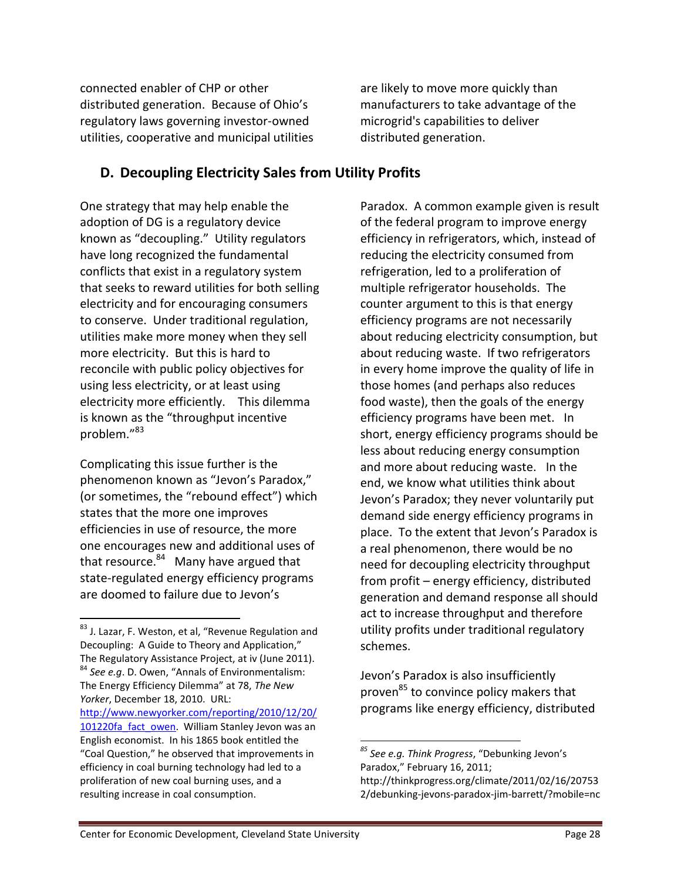connected enabler of CHP or other distributed generation. Because of Ohio's regulatory laws governing investor-owned utilities, cooperative and municipal utilities are likely to move more quickly than manufacturers to take advantage of the microgrid's capabilities to deliver distributed generation.

## **D. Decoupling Electricity Sales from Utility Profits**

One strategy that may help enable the adoption of DG is a regulatory device known as "decoupling." Utility regulators have long recognized the fundamental conflicts that exist in a regulatory system that seeks to reward utilities for both selling electricity and for encouraging consumers to conserve. Under traditional regulation, utilities make more money when they sell more electricity. But this is hard to reconcile with public policy objectives for using less electricity, or at least using electricity more efficiently. This dilemma is known as the "throughput incentive problem."<sup>83</sup>

Complicating this issue further is the phenomenon known as "Jevon's Paradox," (or sometimes, the "rebound effect") which states that the more one improves efficiencies in use of resource, the more one encourages new and additional uses of that resource.<sup>84</sup> Many have argued that state-regulated energy efficiency programs are doomed to failure due to Jevon's

l

Paradox. A common example given is result of the federal program to improve energy efficiency in refrigerators, which, instead of reducing the electricity consumed from refrigeration, led to a proliferation of multiple refrigerator households. The counter argument to this is that energy efficiency programs are not necessarily about reducing electricity consumption, but about reducing waste. If two refrigerators in every home improve the quality of life in those homes (and perhaps also reduces food waste), then the goals of the energy efficiency programs have been met. In short, energy efficiency programs should be less about reducing energy consumption and more about reducing waste. In the end, we know what utilities think about Jevon's Paradox; they never voluntarily put demand side energy efficiency programs in place. To the extent that Jevon's Paradox is a real phenomenon, there would be no need for decoupling electricity throughput from profit – energy efficiency, distributed generation and demand response all should act to increase throughput and therefore utility profits under traditional regulatory schemes.

Jevon's Paradox is also insufficiently proven<sup>85</sup> to convince policy makers that programs like energy efficiency, distributed

<sup>&</sup>lt;sup>83</sup> J. Lazar, F. Weston, et al, "Revenue Regulation and Decoupling: A Guide to Theory and Application," The Regulatory Assistance Project, at iv (June 2011). <sup>84</sup> *See e.g*. D. Owen, "Annals of Environmentalism: The Energy Efficiency Dilemma" at 78, *The New Yorker*, December 18, 2010. URL: [http://www.newyorker.com/reporting/2010/12/20/](http://www.newyorker.com/reporting/2010/12/20/101220fa_fact_owen) [101220fa\\_fact\\_owen.](http://www.newyorker.com/reporting/2010/12/20/101220fa_fact_owen) William Stanley Jevon was an English economist. In his 1865 book entitled the "Coal Question," he observed that improvements in

efficiency in coal burning technology had led to a proliferation of new coal burning uses, and a resulting increase in coal consumption.

*<sup>85</sup> See e.g. Think Progress*, "Debunking Jevon's Paradox," February 16, 2011; http://thinkprogress.org/climate/2011/02/16/20753 2/debunking-jevons-paradox-jim-barrett/?mobile=nc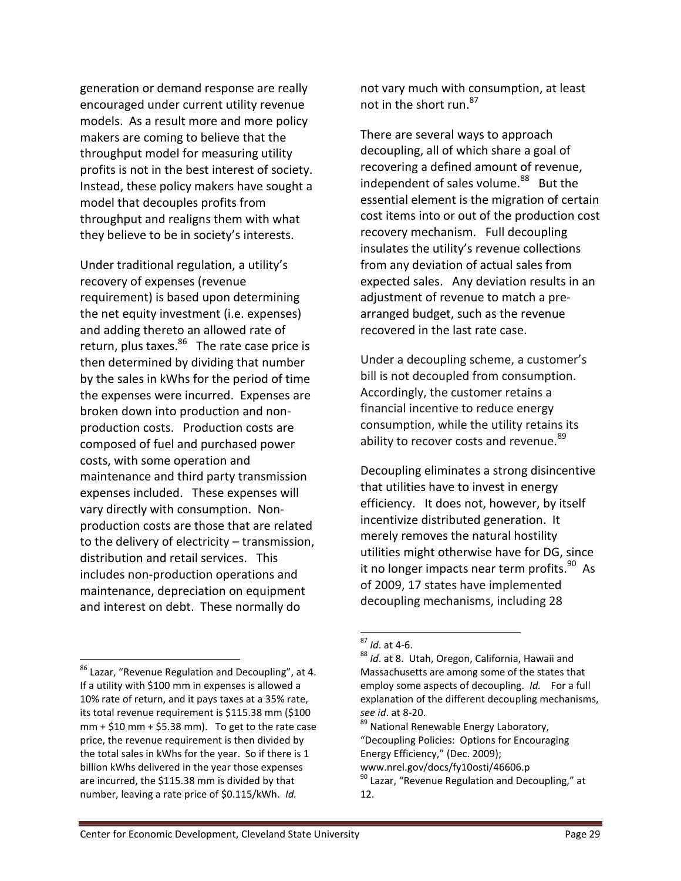generation or demand response are really encouraged under current utility revenue models. As a result more and more policy makers are coming to believe that the throughput model for measuring utility profits is not in the best interest of society. Instead, these policy makers have sought a model that decouples profits from throughput and realigns them with what they believe to be in society's interests.

Under traditional regulation, a utility's recovery of expenses (revenue requirement) is based upon determining the net equity investment (i.e. expenses) and adding thereto an allowed rate of return, plus taxes.<sup>86</sup> The rate case price is then determined by dividing that number by the sales in kWhs for the period of time the expenses were incurred. Expenses are broken down into production and nonproduction costs. Production costs are composed of fuel and purchased power costs, with some operation and maintenance and third party transmission expenses included. These expenses will vary directly with consumption. Nonproduction costs are those that are related to the delivery of electricity – transmission, distribution and retail services. This includes non-production operations and maintenance, depreciation on equipment and interest on debt. These normally do

l

not vary much with consumption, at least not in the short run.<sup>87</sup>

There are several ways to approach decoupling, all of which share a goal of recovering a defined amount of revenue, independent of sales volume.<sup>88</sup> But the essential element is the migration of certain cost items into or out of the production cost recovery mechanism. Full decoupling insulates the utility's revenue collections from any deviation of actual sales from expected sales. Any deviation results in an adjustment of revenue to match a prearranged budget, such as the revenue recovered in the last rate case.

Under a decoupling scheme, a customer's bill is not decoupled from consumption. Accordingly, the customer retains a financial incentive to reduce energy consumption, while the utility retains its ability to recover costs and revenue.<sup>89</sup>

Decoupling eliminates a strong disincentive that utilities have to invest in energy efficiency. It does not, however, by itself incentivize distributed generation. It merely removes the natural hostility utilities might otherwise have for DG, since it no longer impacts near term profits.<sup>90</sup> As of 2009, 17 states have implemented decoupling mechanisms, including 28

<sup>86</sup> Lazar, "Revenue Regulation and Decoupling", at 4. If a utility with \$100 mm in expenses is allowed a 10% rate of return, and it pays taxes at a 35% rate, its total revenue requirement is \$115.38 mm (\$100  $mm + $10 mm + $5.38 mm$ . To get to the rate case price, the revenue requirement is then divided by the total sales in kWhs for the year. So if there is 1 billion kWhs delivered in the year those expenses are incurred, the \$115.38 mm is divided by that number, leaving a rate price of \$0.115/kWh. *Id.*

<sup>87</sup> *Id*. at 4-6.

<sup>88</sup> *Id*. at 8. Utah, Oregon, California, Hawaii and Massachusetts are among some of the states that employ some aspects of decoupling. *Id.* For a full explanation of the different decoupling mechanisms, *see id*. at 8-20.

<sup>89</sup> National Renewable Energy Laboratory, "Decoupling Policies: Options for Encouraging Energy Efficiency," (Dec. 2009);

www.nrel.gov/docs/fy10osti/46606.p

 $90$  Lazar, "Revenue Regulation and Decoupling," at 12.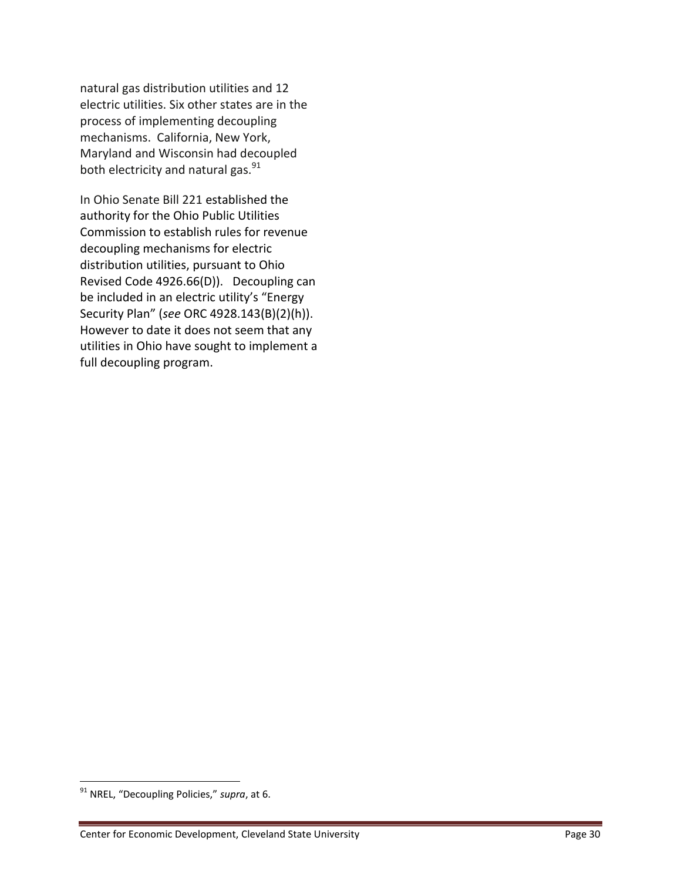natural gas distribution utilities and 12 electric utilities. Six other states are in the process of implementing decoupling mechanisms. California, New York, Maryland and Wisconsin had decoupled both electricity and natural gas. $^{91}$ 

In Ohio Senate Bill 221 established the authority for the Ohio Public Utilities Commission to establish rules for revenue decoupling mechanisms for electric distribution utilities, pursuant to Ohio Revised Code 4926.66(D)). Decoupling can be included in an electric utility's "Energy Security Plan" (*see* ORC 4928.143(B)(2)(h)). However to date it does not seem that any utilities in Ohio have sought to implement a full decoupling program.

<sup>91</sup> NREL, "Decoupling Policies," *supra*, at 6.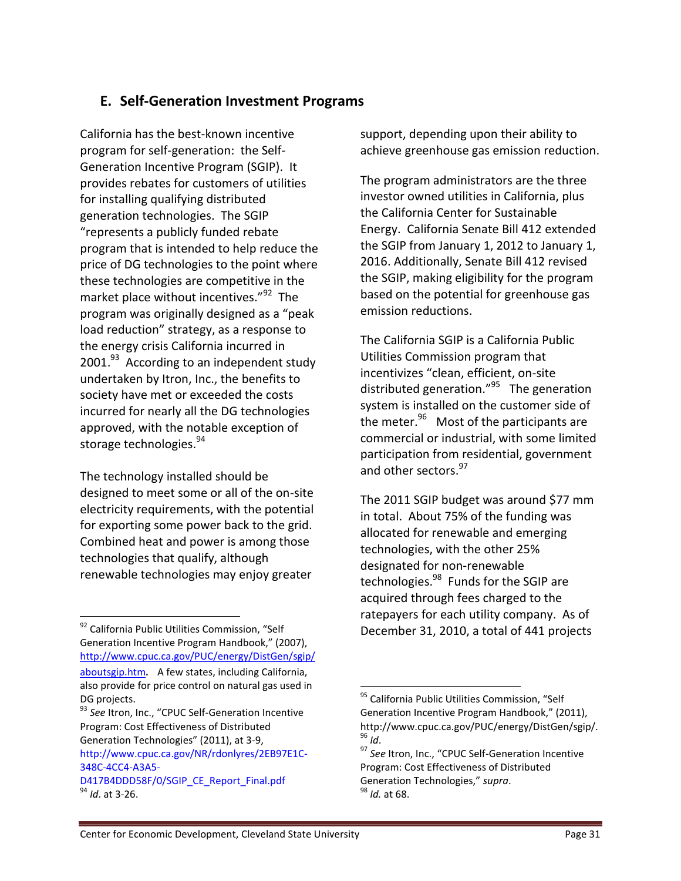## **E. Self-Generation Investment Programs**

California has the best-known incentive program for self-generation: the Self-Generation Incentive Program (SGIP). It provides rebates for customers of utilities for installing qualifying distributed generation technologies. The SGIP "represents a publicly funded rebate program that is intended to help reduce the price of DG technologies to the point where these technologies are competitive in the market place without incentives."<sup>92</sup> The program was originally designed as a "peak load reduction" strategy, as a response to the energy crisis California incurred in 2001.<sup>93</sup> According to an independent study undertaken by Itron, Inc., the benefits to society have met or exceeded the costs incurred for nearly all the DG technologies approved, with the notable exception of storage technologies.<sup>94</sup>

The technology installed should be designed to meet some or all of the on-site electricity requirements, with the potential for exporting some power back to the grid. Combined heat and power is among those technologies that qualify, although renewable technologies may enjoy greater

<sup>92</sup> California Public Utilities Commission, "Self Generation Incentive Program Handbook," (2007), [http://www.cpuc.ca.gov/PUC/energy/DistGen/sgip/](http://www.cpuc.ca.gov/PUC/energy/DistGen/sgip/aboutsgip.htm)

 $\overline{a}$ 

support, depending upon their ability to achieve greenhouse gas emission reduction.

The program administrators are the three investor owned utilities in California, plus the California Center for Sustainable Energy. California Senate Bill 412 extended the SGIP from January 1, 2012 to January 1, 2016. Additionally, Senate Bill 412 revised the SGIP, making eligibility for the program based on the potential for greenhouse gas emission reductions.

The California SGIP is a California Public Utilities Commission program that incentivizes "clean, efficient, on-site distributed generation."<sup>95</sup> The generation system is installed on the customer side of the meter.<sup>96</sup> Most of the participants are commercial or industrial, with some limited participation from residential, government and other sectors.<sup>97</sup>

The 2011 SGIP budget was around \$77 mm in total. About 75% of the funding was allocated for renewable and emerging technologies, with the other 25% designated for non‐renewable technologies. <sup>98</sup> Funds for the SGIP are acquired through fees charged to the ratepayers for each utility company. As of December 31, 2010, a total of 441 projects

l

[aboutsgip.htm](http://www.cpuc.ca.gov/PUC/energy/DistGen/sgip/aboutsgip.htm). A few states, including California, also provide for price control on natural gas used in DG projects.

<sup>93</sup> *See* Itron, Inc., "CPUC Self-Generation Incentive Program: Cost Effectiveness of Distributed Generation Technologies" (2011), at 3-9,

http://www.cpuc.ca.gov/NR/rdonlyres/2EB97E1C‐ 348C‐4CC4‐A3A5‐

D417B4DDD58F/0/SGIP\_CE\_Report\_Final.pdf <sup>94</sup> *Id*. at 3-26.

<sup>&</sup>lt;sup>95</sup> California Public Utilities Commission, "Self Generation Incentive Program Handbook," (2011), http://www.cpuc.ca.gov/PUC/energy/DistGen/sgip/. <sup>96</sup> *Id*.

<sup>97</sup> *See* Itron, Inc., "CPUC Self-Generation Incentive Program: Cost Effectiveness of Distributed Generation Technologies," *supra*. <sup>98</sup> *Id.* at 68.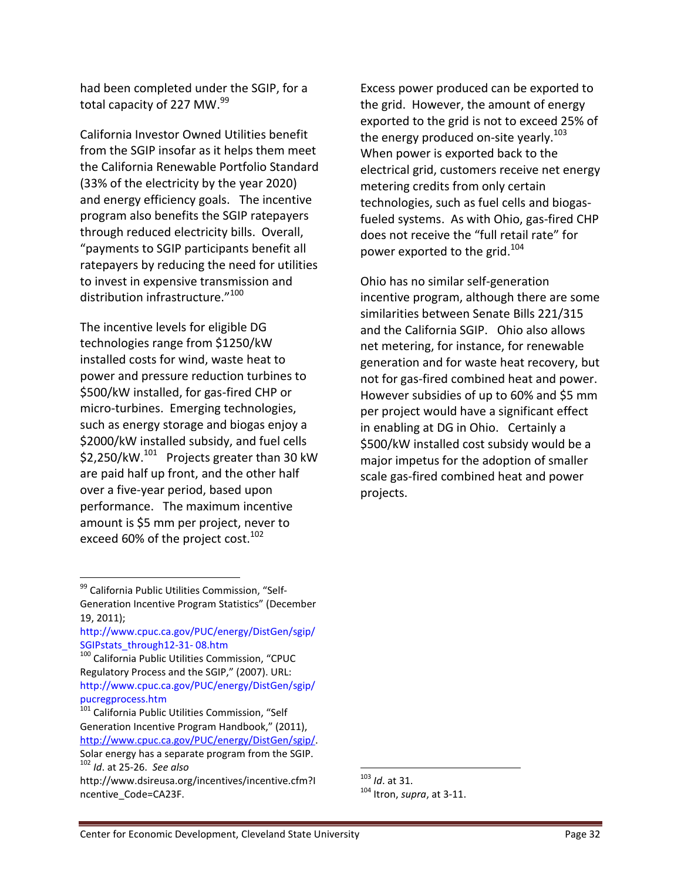had been completed under the SGIP, for a total capacity of 227 MW. 99

California Investor Owned Utilities benefit from the SGIP insofar as it helps them meet the California Renewable Portfolio Standard (33% of the electricity by the year 2020) and energy efficiency goals. The incentive program also benefits the SGIP ratepayers through reduced electricity bills. Overall, "payments to SGIP participants benefit all ratepayers by reducing the need for utilities to invest in expensive transmission and distribution infrastructure."<sup>100</sup>

The incentive levels for eligible DG technologies range from \$1250/kW installed costs for wind, waste heat to power and pressure reduction turbines to \$500/kW installed, for gas-fired CHP or micro-turbines. Emerging technologies, such as energy storage and biogas enjoy a \$2000/kW installed subsidy, and fuel cells \$2,250/kW. $^{101}$  Projects greater than 30 kW are paid half up front, and the other half over a five-year period, based upon performance. The maximum incentive amount is \$5 mm per project, never to exceed 60% of the project cost.<sup>102</sup>

 $\overline{a}$ 

Excess power produced can be exported to the grid. However, the amount of energy exported to the grid is not to exceed 25% of the energy produced on-site yearly.<sup>103</sup> When power is exported back to the electrical grid, customers receive net energy metering credits from only certain technologies, such as fuel cells and biogas‐ fueled systems. As with Ohio, gas-fired CHP does not receive the "full retail rate" for power exported to the grid.<sup>104</sup>

Ohio has no similar self-generation incentive program, although there are some similarities between Senate Bills 221/315 and the California SGIP. Ohio also allows net metering, for instance, for renewable generation and for waste heat recovery, but not for gas-fired combined heat and power. However subsidies of up to 60% and \$5 mm per project would have a significant effect in enabling at DG in Ohio. Certainly a \$500/kW installed cost subsidy would be a major impetus for the adoption of smaller scale gas-fired combined heat and power projects.

l

<sup>&</sup>lt;sup>99</sup> California Public Utilities Commission, "Self-Generation Incentive Program Statistics" (December 19, 2011);

http://www.cpuc.ca.gov/PUC/energy/DistGen/sgip/ SGIPstats\_through12-31- 08.htm

<sup>100</sup> California Public Utilities Commission, "CPUC Regulatory Process and the SGIP," (2007). URL: http://www.cpuc.ca.gov/PUC/energy/DistGen/sgip/ pucregprocess.htm

<sup>&</sup>lt;sup>101</sup> California Public Utilities Commission, "Self Generation Incentive Program Handbook," (2011), [http://www.cpuc.ca.gov/PUC/energy/DistGen/sgip/.](http://www.cpuc.ca.gov/PUC/energy/DistGen/sgip/) Solar energy has a separate program from the SGIP.

<sup>102</sup> *Id*. at 25-26. *See also* http://www.dsireusa.org/incentives/incentive.cfm?I ncentive\_Code=CA23F.

<sup>103</sup> *Id*. at 31.

<sup>104</sup> Itron, *supra*, at 3-11.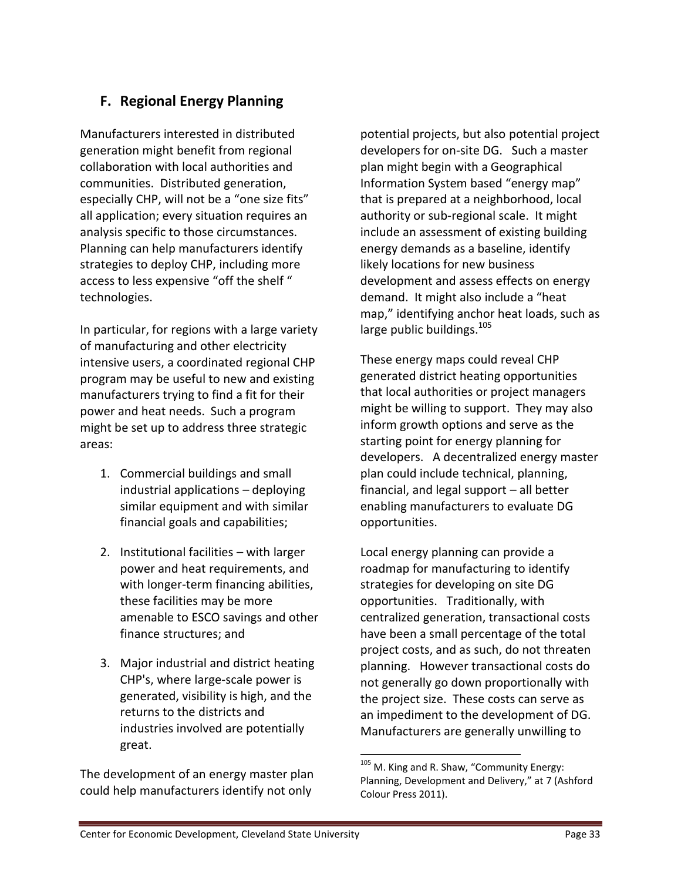# **F. Regional Energy Planning**

Manufacturers interested in distributed generation might benefit from regional collaboration with local authorities and communities. Distributed generation, especially CHP, will not be a "one size fits" all application; every situation requires an analysis specific to those circumstances. Planning can help manufacturers identify strategies to deploy CHP, including more access to less expensive "off the shelf " technologies.

In particular, for regions with a large variety of manufacturing and other electricity intensive users, a coordinated regional CHP program may be useful to new and existing manufacturers trying to find a fit for their power and heat needs. Such a program might be set up to address three strategic areas:

- 1. Commercial buildings and small industrial applications – deploying similar equipment and with similar financial goals and capabilities;
- 2. Institutional facilities with larger power and heat requirements, and with longer-term financing abilities, these facilities may be more amenable to ESCO savings and other finance structures; and
- 3. Major industrial and district heating CHP's, where large-scale power is generated, visibility is high, and the returns to the districts and industries involved are potentially great.

The development of an energy master plan could help manufacturers identify not only

potential projects, but also potential project developers for on-site DG. Such a master plan might begin with a Geographical Information System based "energy map" that is prepared at a neighborhood, local authority or sub-regional scale. It might include an assessment of existing building energy demands as a baseline, identify likely locations for new business development and assess effects on energy demand. It might also include a "heat map," identifying anchor heat loads, such as large public buildings.<sup>105</sup>

These energy maps could reveal CHP generated district heating opportunities that local authorities or project managers might be willing to support. They may also inform growth options and serve as the starting point for energy planning for developers. A decentralized energy master plan could include technical, planning, financial, and legal support – all better enabling manufacturers to evaluate DG opportunities.

Local energy planning can provide a roadmap for manufacturing to identify strategies for developing on site DG opportunities. Traditionally, with centralized generation, transactional costs have been a small percentage of the total project costs, and as such, do not threaten planning. However transactional costs do not generally go down proportionally with the project size. These costs can serve as an impediment to the development of DG. Manufacturers are generally unwilling to

 $105$  M. King and R. Shaw, "Community Energy: Planning, Development and Delivery," at 7 (Ashford Colour Press 2011).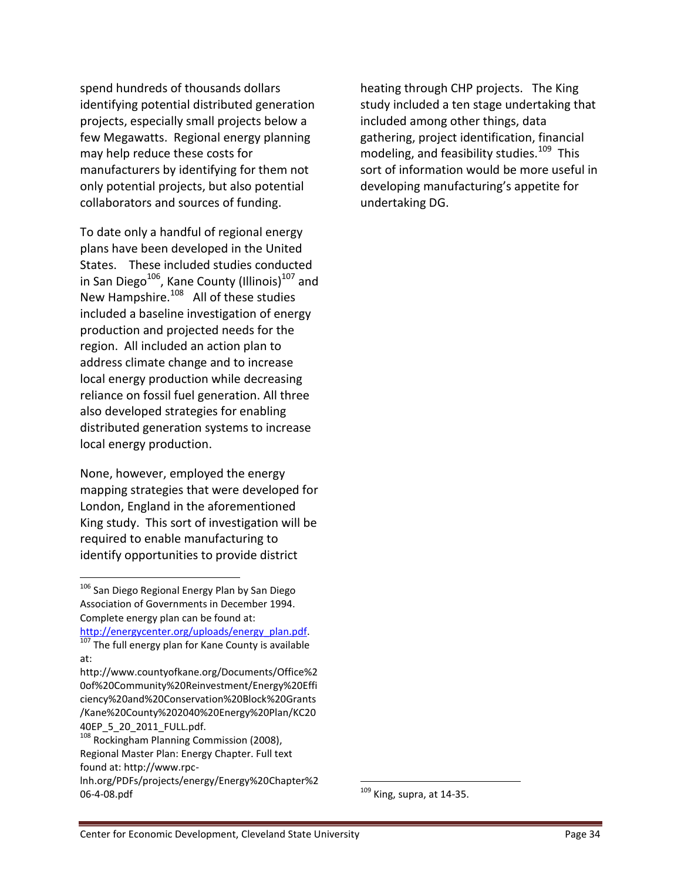spend hundreds of thousands dollars identifying potential distributed generation projects, especially small projects below a few Megawatts. Regional energy planning may help reduce these costs for manufacturers by identifying for them not only potential projects, but also potential collaborators and sources of funding.

To date only a handful of regional energy plans have been developed in the United States. These included studies conducted in San Diego<sup>106</sup>, Kane County (Illinois)<sup>107</sup> and New Hampshire.<sup>108</sup> All of these studies included a baseline investigation of energy production and projected needs for the region. All included an action plan to address climate change and to increase local energy production while decreasing reliance on fossil fuel generation. All three also developed strategies for enabling distributed generation systems to increase local energy production.

None, however, employed the energy mapping strategies that were developed for London, England in the aforementioned King study. This sort of investigation will be required to enable manufacturing to identify opportunities to provide district

<sup>106</sup> San Diego Regional Energy Plan by San Diego Association of Governments in December 1994. Complete energy plan can be found at: [http://energycenter.org/uploads/energy\\_plan.pdf.](http://energycenter.org/uploads/energy_plan.pdf)

 $\overline{a}$ 

http://www.countyofkane.org/Documents/Office%2 0of%20Community%20Reinvestment/Energy%20Effi ciency%20and%20Conservation%20Block%20Grants /Kane%20County%202040%20Energy%20Plan/KC20 40EP\_5\_20\_2011\_FULL.pdf.

heating through CHP projects. The King study included a ten stage undertaking that included among other things, data gathering, project identification, financial modeling, and feasibility studies.<sup>109</sup> This sort of information would be more useful in developing manufacturing's appetite for undertaking DG.

 $107$  The full energy plan for Kane County is available at:

<sup>&</sup>lt;sup>108</sup> Rockingham Planning Commission (2008), Regional Master Plan: Energy Chapter. Full text found at: http://www.rpc-

lnh.org/PDFs/projects/energy/Energy%20Chapter%2 06-4-08.pdf

 $109$  King, supra, at 14-35.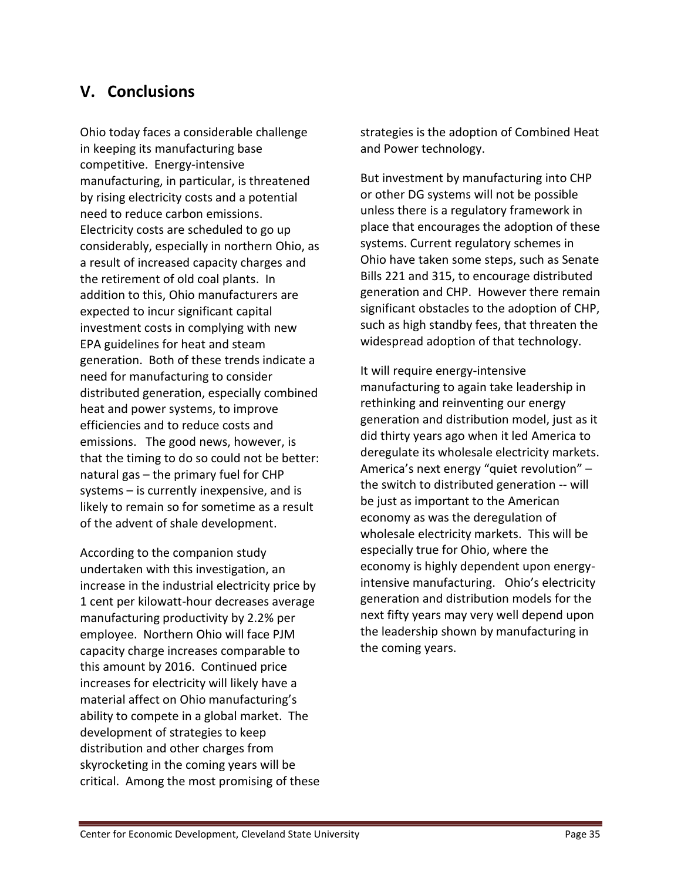# **V. Conclusions**

Ohio today faces a considerable challenge in keeping its manufacturing base competitive. Energy-intensive manufacturing, in particular, is threatened by rising electricity costs and a potential need to reduce carbon emissions. Electricity costs are scheduled to go up considerably, especially in northern Ohio, as a result of increased capacity charges and the retirement of old coal plants. In addition to this, Ohio manufacturers are expected to incur significant capital investment costs in complying with new EPA guidelines for heat and steam generation. Both of these trends indicate a need for manufacturing to consider distributed generation, especially combined heat and power systems, to improve efficiencies and to reduce costs and emissions. The good news, however, is that the timing to do so could not be better: natural gas – the primary fuel for CHP systems – is currently inexpensive, and is likely to remain so for sometime as a result of the advent of shale development.

According to the companion study undertaken with this investigation, an increase in the industrial electricity price by 1 cent per kilowatt-hour decreases average manufacturing productivity by 2.2% per employee. Northern Ohio will face PJM capacity charge increases comparable to this amount by 2016. Continued price increases for electricity will likely have a material affect on Ohio manufacturing's ability to compete in a global market. The development of strategies to keep distribution and other charges from skyrocketing in the coming years will be critical. Among the most promising of these strategies is the adoption of Combined Heat and Power technology.

But investment by manufacturing into CHP or other DG systems will not be possible unless there is a regulatory framework in place that encourages the adoption of these systems. Current regulatory schemes in Ohio have taken some steps, such as Senate Bills 221 and 315, to encourage distributed generation and CHP. However there remain significant obstacles to the adoption of CHP, such as high standby fees, that threaten the widespread adoption of that technology.

It will require energy-intensive manufacturing to again take leadership in rethinking and reinventing our energy generation and distribution model, just as it did thirty years ago when it led America to deregulate its wholesale electricity markets. America's next energy "quiet revolution" – the switch to distributed generation -- will be just as important to the American economy as was the deregulation of wholesale electricity markets. This will be especially true for Ohio, where the economy is highly dependent upon energyintensive manufacturing. Ohio's electricity generation and distribution models for the next fifty years may very well depend upon the leadership shown by manufacturing in the coming years.